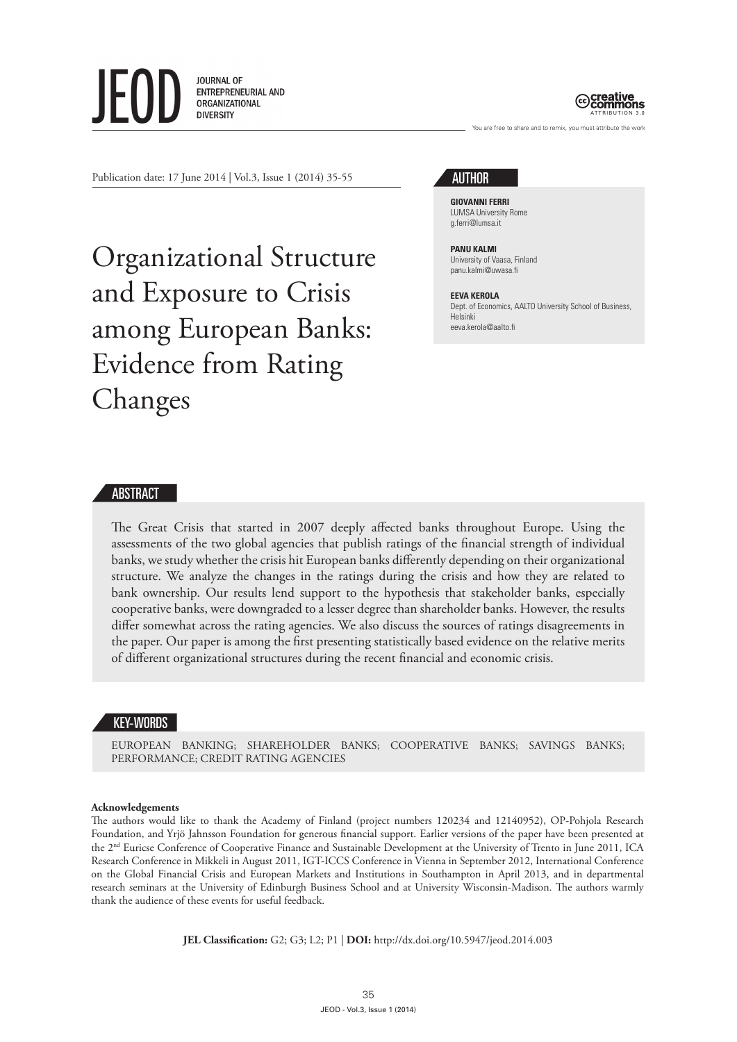**JOURNAL OF** ENTREPRENEURIAL AND ORGANIZATIONAL **DIVERSITY** 



Publication date: 17 June 2014 | Vol.3, Issue 1 (2014) 35-55

Organizational Structure and Exposure to Crisis among European Banks: Evidence from Rating Changes

# AUTHOR

**GIOVANNI FERRI** LUMSA University Rome g.ferri@lumsa.it

### **PANU KALMI** University of Vaasa, Finland panu.kalmi@uwasa.fi

**EEVA KEROLA** Dept. of Economics, AALTO University School of Business, Helsinki eeva.kerola@aalto.fi

You are free to share and to remix, you must attribute the work

### ABSTRACT

The Great Crisis that started in 2007 deeply affected banks throughout Europe. Using the assessments of the two global agencies that publish ratings of the financial strength of individual banks, we study whether the crisis hit European banks differently depending on their organizational structure. We analyze the changes in the ratings during the crisis and how they are related to bank ownership. Our results lend support to the hypothesis that stakeholder banks, especially cooperative banks, were downgraded to a lesser degree than shareholder banks. However, the results differ somewhat across the rating agencies. We also discuss the sources of ratings disagreements in the paper. Our paper is among the first presenting statistically based evidence on the relative merits of different organizational structures during the recent financial and economic crisis.

# KEY-WORDS

EUROPEAN BANKING; SHAREHOLDER BANKS; COOPERATIVE BANKS; SAVINGS BANKS; PERFORMANCE; CREDIT RATING AGENCIES

### **Acknowledgements**

The authors would like to thank the Academy of Finland (project numbers 120234 and 12140952), OP-Pohjola Research Foundation, and Yrjö Jahnsson Foundation for generous financial support. Earlier versions of the paper have been presented at the 2nd Euricse Conference of Cooperative Finance and Sustainable Development at the University of Trento in June 2011, ICA Research Conference in Mikkeli in August 2011, IGT-ICCS Conference in Vienna in September 2012, International Conference on the Global Financial Crisis and European Markets and Institutions in Southampton in April 2013, and in departmental research seminars at the University of Edinburgh Business School and at University Wisconsin-Madison. The authors warmly thank the audience of these events for useful feedback.

**JEL Classification:** G2; G3; L2; P1 | **DOI:** http://dx.doi.org/10.5947/jeod.2014.003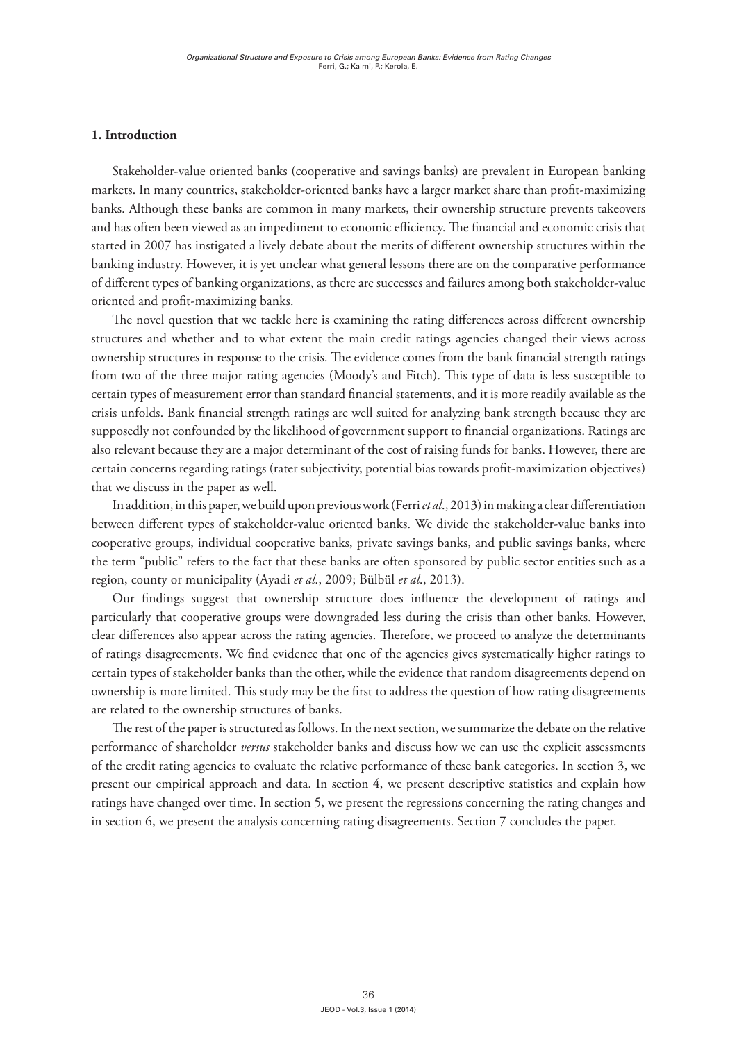# **1. Introduction**

Stakeholder-value oriented banks (cooperative and savings banks) are prevalent in European banking markets. In many countries, stakeholder-oriented banks have a larger market share than profit-maximizing banks. Although these banks are common in many markets, their ownership structure prevents takeovers and has often been viewed as an impediment to economic efficiency. The financial and economic crisis that started in 2007 has instigated a lively debate about the merits of different ownership structures within the banking industry. However, it is yet unclear what general lessons there are on the comparative performance of different types of banking organizations, as there are successes and failures among both stakeholder-value oriented and profit-maximizing banks.

The novel question that we tackle here is examining the rating differences across different ownership structures and whether and to what extent the main credit ratings agencies changed their views across ownership structures in response to the crisis. The evidence comes from the bank financial strength ratings from two of the three major rating agencies (Moody's and Fitch). This type of data is less susceptible to certain types of measurement error than standard financial statements, and it is more readily available as the crisis unfolds. Bank financial strength ratings are well suited for analyzing bank strength because they are supposedly not confounded by the likelihood of government support to financial organizations. Ratings are also relevant because they are a major determinant of the cost of raising funds for banks. However, there are certain concerns regarding ratings (rater subjectivity, potential bias towards profit-maximization objectives) that we discuss in the paper as well.

In addition, in this paper, we build upon previous work (Ferri *et al*., 2013) in making a clear differentiation between different types of stakeholder-value oriented banks. We divide the stakeholder-value banks into cooperative groups, individual cooperative banks, private savings banks, and public savings banks, where the term "public" refers to the fact that these banks are often sponsored by public sector entities such as a region, county or municipality (Ayadi *et al*., 2009; Bülbül *et al*., 2013).

Our findings suggest that ownership structure does influence the development of ratings and particularly that cooperative groups were downgraded less during the crisis than other banks. However, clear differences also appear across the rating agencies. Therefore, we proceed to analyze the determinants of ratings disagreements. We find evidence that one of the agencies gives systematically higher ratings to certain types of stakeholder banks than the other, while the evidence that random disagreements depend on ownership is more limited. This study may be the first to address the question of how rating disagreements are related to the ownership structures of banks.

The rest of the paper is structured as follows. In the next section, we summarize the debate on the relative performance of shareholder *versus* stakeholder banks and discuss how we can use the explicit assessments of the credit rating agencies to evaluate the relative performance of these bank categories. In section 3, we present our empirical approach and data. In section 4, we present descriptive statistics and explain how ratings have changed over time. In section 5, we present the regressions concerning the rating changes and in section 6, we present the analysis concerning rating disagreements. Section 7 concludes the paper.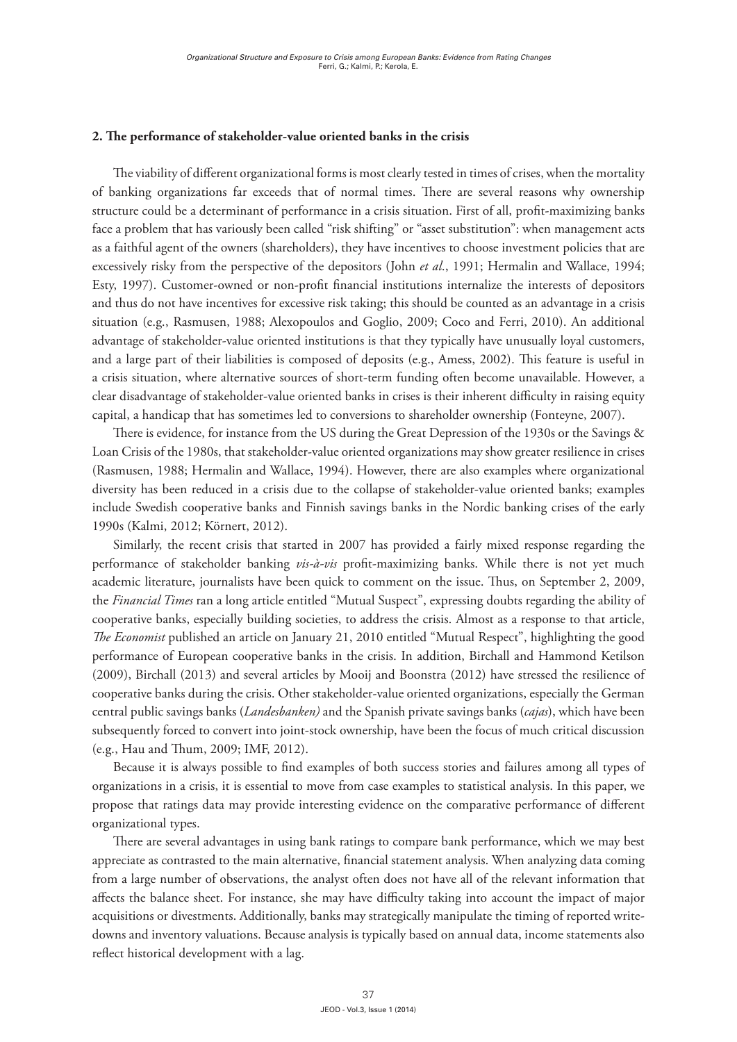## **2. The performance of stakeholder-value oriented banks in the crisis**

The viability of different organizational forms is most clearly tested in times of crises, when the mortality of banking organizations far exceeds that of normal times. There are several reasons why ownership structure could be a determinant of performance in a crisis situation. First of all, profit-maximizing banks face a problem that has variously been called "risk shifting" or "asset substitution": when management acts as a faithful agent of the owners (shareholders), they have incentives to choose investment policies that are excessively risky from the perspective of the depositors (John *et al*., 1991; Hermalin and Wallace, 1994; Esty, 1997). Customer-owned or non-profit financial institutions internalize the interests of depositors and thus do not have incentives for excessive risk taking; this should be counted as an advantage in a crisis situation (e.g., Rasmusen, 1988; Alexopoulos and Goglio, 2009; Coco and Ferri, 2010). An additional advantage of stakeholder-value oriented institutions is that they typically have unusually loyal customers, and a large part of their liabilities is composed of deposits (e.g., Amess, 2002). This feature is useful in a crisis situation, where alternative sources of short-term funding often become unavailable. However, a clear disadvantage of stakeholder-value oriented banks in crises is their inherent difficulty in raising equity capital, a handicap that has sometimes led to conversions to shareholder ownership (Fonteyne, 2007).

There is evidence, for instance from the US during the Great Depression of the 1930s or the Savings & Loan Crisis of the 1980s, that stakeholder-value oriented organizations may show greater resilience in crises (Rasmusen, 1988; Hermalin and Wallace, 1994). However, there are also examples where organizational diversity has been reduced in a crisis due to the collapse of stakeholder-value oriented banks; examples include Swedish cooperative banks and Finnish savings banks in the Nordic banking crises of the early 1990s (Kalmi, 2012; Körnert, 2012).

Similarly, the recent crisis that started in 2007 has provided a fairly mixed response regarding the performance of stakeholder banking *vis-à-vis* profit-maximizing banks. While there is not yet much academic literature, journalists have been quick to comment on the issue. Thus, on September 2, 2009, the *Financial Times* ran a long article entitled "Mutual Suspect", expressing doubts regarding the ability of cooperative banks, especially building societies, to address the crisis. Almost as a response to that article, *The Economist* published an article on January 21, 2010 entitled "Mutual Respect", highlighting the good performance of European cooperative banks in the crisis. In addition, Birchall and Hammond Ketilson (2009), Birchall (2013) and several articles by Mooij and Boonstra (2012) have stressed the resilience of cooperative banks during the crisis. Other stakeholder-value oriented organizations, especially the German central public savings banks (*Landesbanken)* and the Spanish private savings banks (*cajas*), which have been subsequently forced to convert into joint-stock ownership, have been the focus of much critical discussion (e.g., Hau and Thum, 2009; IMF, 2012).

Because it is always possible to find examples of both success stories and failures among all types of organizations in a crisis, it is essential to move from case examples to statistical analysis. In this paper, we propose that ratings data may provide interesting evidence on the comparative performance of different organizational types.

There are several advantages in using bank ratings to compare bank performance, which we may best appreciate as contrasted to the main alternative, financial statement analysis. When analyzing data coming from a large number of observations, the analyst often does not have all of the relevant information that affects the balance sheet. For instance, she may have difficulty taking into account the impact of major acquisitions or divestments. Additionally, banks may strategically manipulate the timing of reported writedowns and inventory valuations. Because analysis is typically based on annual data, income statements also reflect historical development with a lag.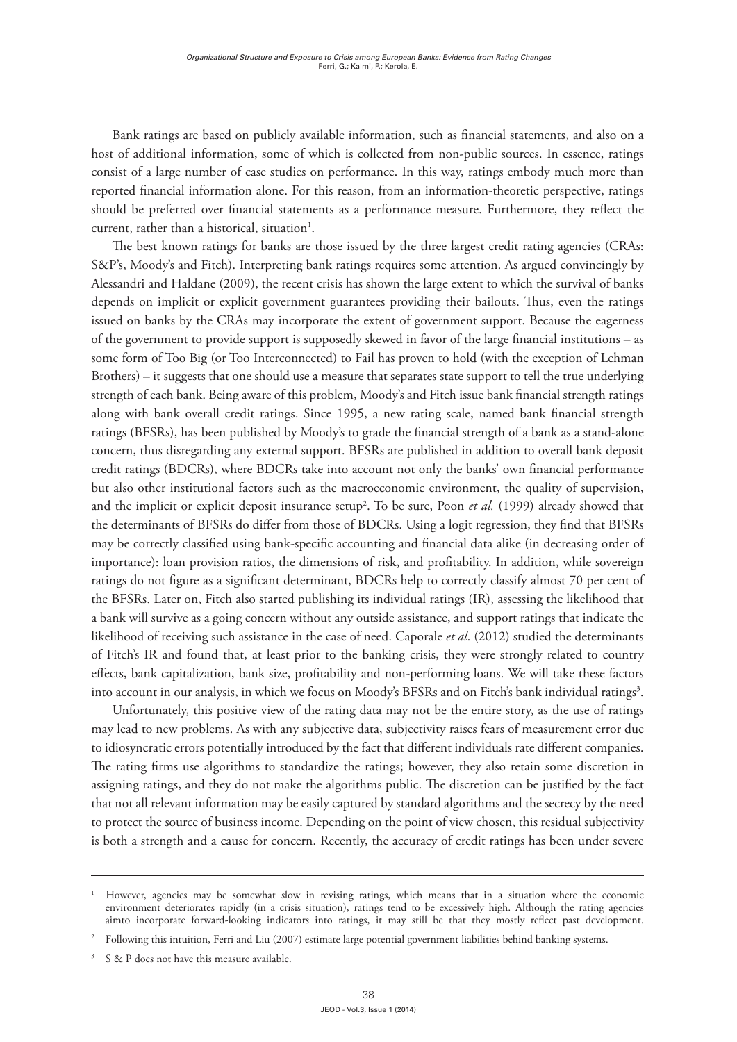Bank ratings are based on publicly available information, such as financial statements, and also on a host of additional information, some of which is collected from non-public sources. In essence, ratings consist of a large number of case studies on performance. In this way, ratings embody much more than reported financial information alone. For this reason, from an information-theoretic perspective, ratings should be preferred over financial statements as a performance measure. Furthermore, they reflect the current, rather than a historical, situation<sup>1</sup>.

The best known ratings for banks are those issued by the three largest credit rating agencies (CRAs: S&P's, Moody's and Fitch). Interpreting bank ratings requires some attention. As argued convincingly by Alessandri and Haldane (2009), the recent crisis has shown the large extent to which the survival of banks depends on implicit or explicit government guarantees providing their bailouts. Thus, even the ratings issued on banks by the CRAs may incorporate the extent of government support. Because the eagerness of the government to provide support is supposedly skewed in favor of the large financial institutions – as some form of Too Big (or Too Interconnected) to Fail has proven to hold (with the exception of Lehman Brothers) – it suggests that one should use a measure that separates state support to tell the true underlying strength of each bank. Being aware of this problem, Moody's and Fitch issue bank financial strength ratings along with bank overall credit ratings. Since 1995, a new rating scale, named bank financial strength ratings (BFSRs), has been published by Moody's to grade the financial strength of a bank as a stand-alone concern, thus disregarding any external support. BFSRs are published in addition to overall bank deposit credit ratings (BDCRs), where BDCRs take into account not only the banks' own financial performance but also other institutional factors such as the macroeconomic environment, the quality of supervision, and the implicit or explicit deposit insurance setup<sup>2</sup>. To be sure, Poon *et al.* (1999) already showed that the determinants of BFSRs do differ from those of BDCRs. Using a logit regression, they find that BFSRs may be correctly classified using bank-specific accounting and financial data alike (in decreasing order of importance): loan provision ratios, the dimensions of risk, and profitability. In addition, while sovereign ratings do not figure as a significant determinant, BDCRs help to correctly classify almost 70 per cent of the BFSRs. Later on, Fitch also started publishing its individual ratings (IR), assessing the likelihood that a bank will survive as a going concern without any outside assistance, and support ratings that indicate the likelihood of receiving such assistance in the case of need. Caporale *et al*. (2012) studied the determinants of Fitch's IR and found that, at least prior to the banking crisis, they were strongly related to country effects, bank capitalization, bank size, profitability and non-performing loans. We will take these factors into account in our analysis, in which we focus on Moody's BFSRs and on Fitch's bank individual ratings $^3$ .

Unfortunately, this positive view of the rating data may not be the entire story, as the use of ratings may lead to new problems. As with any subjective data, subjectivity raises fears of measurement error due to idiosyncratic errors potentially introduced by the fact that different individuals rate different companies. The rating firms use algorithms to standardize the ratings; however, they also retain some discretion in assigning ratings, and they do not make the algorithms public. The discretion can be justified by the fact that not all relevant information may be easily captured by standard algorithms and the secrecy by the need to protect the source of business income. Depending on the point of view chosen, this residual subjectivity is both a strength and a cause for concern. Recently, the accuracy of credit ratings has been under severe

<sup>1</sup> However, agencies may be somewhat slow in revising ratings, which means that in a situation where the economic environment deteriorates rapidly (in a crisis situation), ratings tend to be excessively high. Although the rating agencies aimto incorporate forward-looking indicators into ratings, it may still be that they mostly reflect past development.

<sup>2</sup> Following this intuition, Ferri and Liu (2007) estimate large potential government liabilities behind banking systems.

<sup>3</sup> S & P does not have this measure available.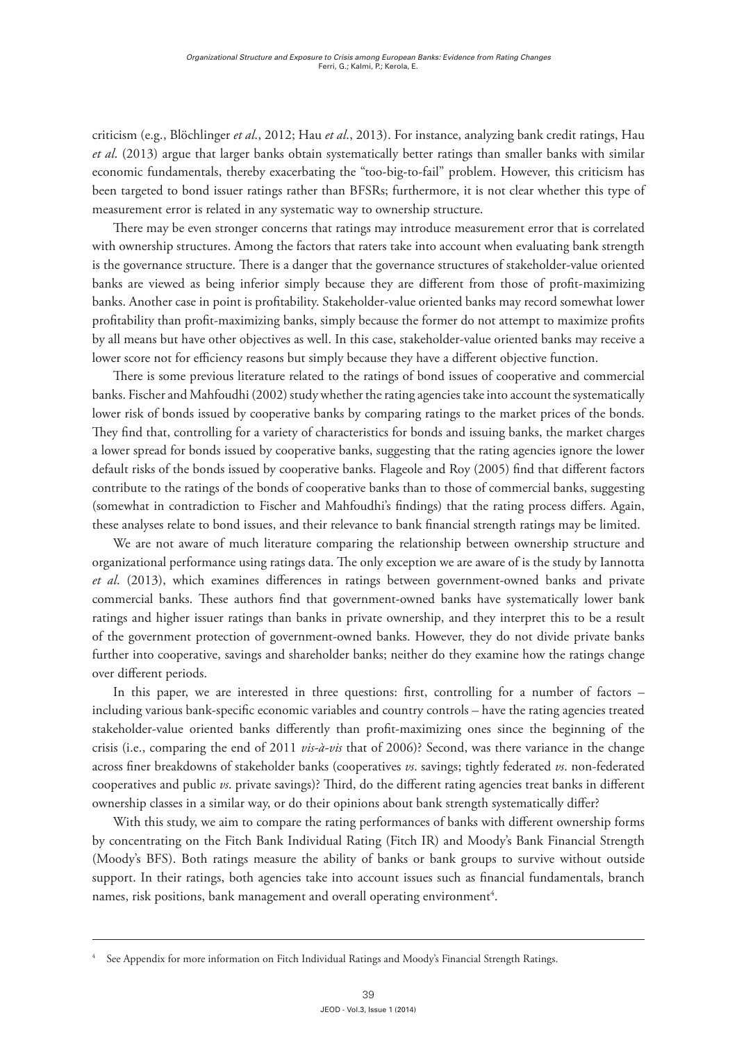criticism (e.g., Blöchlinger *et al*., 2012; Hau *et al*., 2013). For instance, analyzing bank credit ratings, Hau *et al*. (2013) argue that larger banks obtain systematically better ratings than smaller banks with similar economic fundamentals, thereby exacerbating the "too-big-to-fail" problem. However, this criticism has been targeted to bond issuer ratings rather than BFSRs; furthermore, it is not clear whether this type of measurement error is related in any systematic way to ownership structure.

There may be even stronger concerns that ratings may introduce measurement error that is correlated with ownership structures. Among the factors that raters take into account when evaluating bank strength is the governance structure. There is a danger that the governance structures of stakeholder-value oriented banks are viewed as being inferior simply because they are different from those of profit-maximizing banks. Another case in point is profitability. Stakeholder-value oriented banks may record somewhat lower profitability than profit-maximizing banks, simply because the former do not attempt to maximize profits by all means but have other objectives as well. In this case, stakeholder-value oriented banks may receive a lower score not for efficiency reasons but simply because they have a different objective function.

There is some previous literature related to the ratings of bond issues of cooperative and commercial banks. Fischer and Mahfoudhi (2002) study whether the rating agencies take into account the systematically lower risk of bonds issued by cooperative banks by comparing ratings to the market prices of the bonds. They find that, controlling for a variety of characteristics for bonds and issuing banks, the market charges a lower spread for bonds issued by cooperative banks, suggesting that the rating agencies ignore the lower default risks of the bonds issued by cooperative banks. Flageole and Roy (2005) find that different factors contribute to the ratings of the bonds of cooperative banks than to those of commercial banks, suggesting (somewhat in contradiction to Fischer and Mahfoudhi's findings) that the rating process differs. Again, these analyses relate to bond issues, and their relevance to bank financial strength ratings may be limited.

We are not aware of much literature comparing the relationship between ownership structure and organizational performance using ratings data. The only exception we are aware of is the study by Iannotta *et al*. (2013), which examines differences in ratings between government-owned banks and private commercial banks. These authors find that government-owned banks have systematically lower bank ratings and higher issuer ratings than banks in private ownership, and they interpret this to be a result of the government protection of government-owned banks. However, they do not divide private banks further into cooperative, savings and shareholder banks; neither do they examine how the ratings change over different periods.

In this paper, we are interested in three questions: first, controlling for a number of factors – including various bank-specific economic variables and country controls – have the rating agencies treated stakeholder-value oriented banks differently than profit-maximizing ones since the beginning of the crisis (i.e., comparing the end of 2011 *vis-à-vis* that of 2006)? Second, was there variance in the change across finer breakdowns of stakeholder banks (cooperatives *vs*. savings; tightly federated *vs*. non-federated cooperatives and public *vs*. private savings)? Third, do the different rating agencies treat banks in different ownership classes in a similar way, or do their opinions about bank strength systematically differ?

With this study, we aim to compare the rating performances of banks with different ownership forms by concentrating on the Fitch Bank Individual Rating (Fitch IR) and Moody's Bank Financial Strength (Moody's BFS). Both ratings measure the ability of banks or bank groups to survive without outside support. In their ratings, both agencies take into account issues such as financial fundamentals, branch names, risk positions, bank management and overall operating environment $^{\rm 4}.$ 

<sup>4</sup> See Appendix for more information on Fitch Individual Ratings and Moody's Financial Strength Ratings.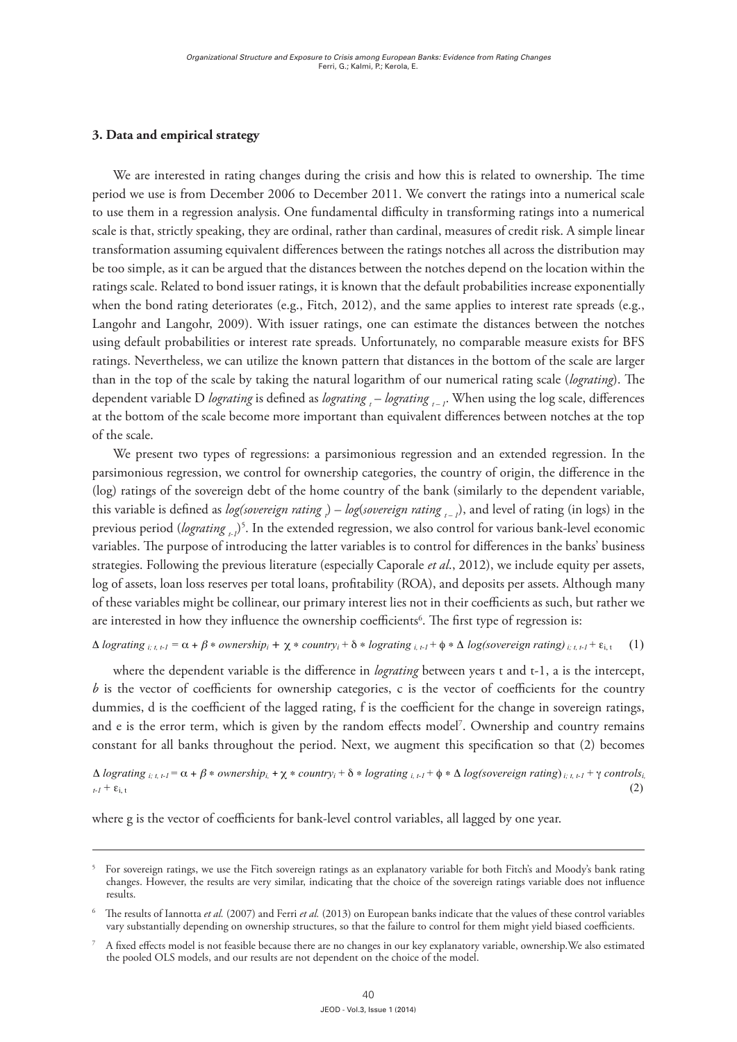# **3. Data and empirical strategy**

We are interested in rating changes during the crisis and how this is related to ownership. The time period we use is from December 2006 to December 2011. We convert the ratings into a numerical scale to use them in a regression analysis. One fundamental difficulty in transforming ratings into a numerical scale is that, strictly speaking, they are ordinal, rather than cardinal, measures of credit risk. A simple linear transformation assuming equivalent differences between the ratings notches all across the distribution may be too simple, as it can be argued that the distances between the notches depend on the location within the ratings scale. Related to bond issuer ratings, it is known that the default probabilities increase exponentially when the bond rating deteriorates (e.g., Fitch, 2012), and the same applies to interest rate spreads (e.g., Langohr and Langohr, 2009). With issuer ratings, one can estimate the distances between the notches using default probabilities or interest rate spreads. Unfortunately, no comparable measure exists for BFS ratings. Nevertheless, we can utilize the known pattern that distances in the bottom of the scale are larger than in the top of the scale by taking the natural logarithm of our numerical rating scale (*lograting*). The dependent variable D lograting is defined as lograting  $_{t}$  – lograting  $_{t-1}$ . When using the log scale, differences at the bottom of the scale become more important than equivalent differences between notches at the top of the scale. at the bottom of the scale become more important than equivalent differences between notches at the top at the bottom of the scale become more important than equivalent differences between notches at the top the top of the scale. We present two types of regressions: a parsimonious regression and an extended regression.

We present two types of regressions: a parsimonious regression and an extended regression. In the We present two types of regressions: a parsimonious regression and an extended regression. parsimonious regression, we control for ownership categories, the country of origin, the difference in the (log) ratings of the sovereign debt of the home country of the bank (similarly to the dependent variable, this variable is defined as *log(sovereign rating* ) – *log(sovereign rating*  $_{t-1}$ ), and level of rating (in logs) in the previous period (*lograting*  $_{t-1}$ <sup>5</sup>. In the extended regression, we also control for various bank-level economic variables. The purpose of introducing the latter variables is to control for differences in the banks' business strategies. Following the previous literature (especially Caporale *et al*., 2012), we include equity per assets, log of assets, loan loss reserves per total loans, profitability (ROA), and deposits per assets. Although many of these variables might be collinear, our primary interest lies not in their coefficients as such, but rather we or these variables inight be confinear, our primary interest hes not in their coefficients as such, but radi<br>are interested in how they influence the ownership coefficients<sup>6</sup>. The first type of regression is: and level of rating (in logs) in the previous period (*loggering tating t-1*), and level of rating (in logs) in the extended regression, we have extended regression, we have extended regression, we have extended regressio We present two types of regressions: a parsimonious regression and an extended regression. In the this variable is defined as *log(sovereign rating ) – log(sovereign rating )*, and level of rating (in logs) in the  $\frac{1}{2}$  are violent formulation  $\frac{1}{2}$ . The purpose of interests of  $\frac{1}{2}$  and  $\frac{1}{2}$  for various bank-level economic  $\frac{1}{\sqrt{2}}$  is to control for  $\frac{1}{\sqrt{2}}$  . For differences in the previous strategies. For differences in the prediction of variables. The purpose of introducing the latter variables is to control for untercritics in the barnes business

### $\Delta$  *lograting*  $_{i,t,t-l}$  =  $\alpha$  +  $\beta$  \* *ownership*<sub>i</sub> +  $\chi$  \* *country*<sub>i</sub> +  $\delta$  \* *lograting*  $_{i,t,l}$  +  $\phi$  \*  $\Delta$  *log(sovereign rating*)  $_{i,t,t-l}$  +  $\varepsilon_{i,t}$  (1) Δ *lograting i; t, t-1 =* α + β ∗ *ownershipi* + χ ∗ *countryi* + δ ∗ *lograting i, t-1* + φ ∗ Δ *log(sovereign rating) i; t, t-1* + εi, t (1)

where the dependent variable is the difference in *lograting* between years t and t-1, a is the intercept, *b* is the vector of coefficients for ownership categories, c is the vector of coefficients for the country dummies, d is the coefficient of the lagged rating, f is the coefficient for the change in sovereign ratings, and e is the error term, which is given by the random effects model<sup>7</sup>. Ownership and country remains  $\frac{1}{1}$ specification so that (2) becomes constant for all banks throughout the period. Next, we augment this specification so that (2) becomes specification so that (2) becomes where the dependent variable is the difference in  $w_2$  and  $w_3$  is the vector of coefficients  $\alpha$ .  $\nu$  is the vector of coefficients for ownership categories, c is the vector of coefficients for the country

 $\frac{1}{x} + \epsilon_0$  **i**, t<sub>1</sub> + ε<sub>i</sub> *t*<sub>2</sub> (2)  $\Delta$  *lograting*  $_{i,t,t}$  =  $\alpha$  +  $\beta$  \* *ownership<sub>i</sub>*, +  $\chi$  \* *country<sub>i</sub>* +  $\delta$  \* *lograting*<sub>*i*, t-1</sub> +  $\phi$  \*  $\Delta$  *log(sovereign rating*)<sub>*i;* t, t-1</sub> +  $\gamma$  *controlsi*,  $t_{t} + \epsilon_{i,t}$  (2)

 $\delta$  is the vector of coefficients for bank-level control variables, all  $\delta$ where g is the vector of coefficients for bank-level control variables, all lagged by one year.

variable. Using data from two different sources also allows us to analyze the ratings disagreements.

 $W$  run different sets of regressions using either the  $\mathcal{S}$  rating as our dependent or  $\mathcal{S}$ 

 $5$  For sovereign ratings, we use the Fitch sovereign ratings as an explanatory variable for both Fitch's and Moody's bank rating changes. However, the results are very similar, indicating that the choice of the sovereign ratings variable does not influence results. need the data into a convert the data into a convert the data by transformation of the data by transforming both  $\alpha$ 5 results.

<sup>&</sup>lt;sup>6</sup> The results of Iannotta *et al.* (2007) and Ferri *et al.* (2013) on European banks indicate that the values of these control variables vary substantially depending on ownership structures, so that the failure to control for them might yield biased coefficients. 6

 $7\;$  A fixed effects model is not feasible because there are no changes in our key explanatory variable, ownership. We also estimated the pooled OLS models, and our results are not dependent on the choice of the model. 7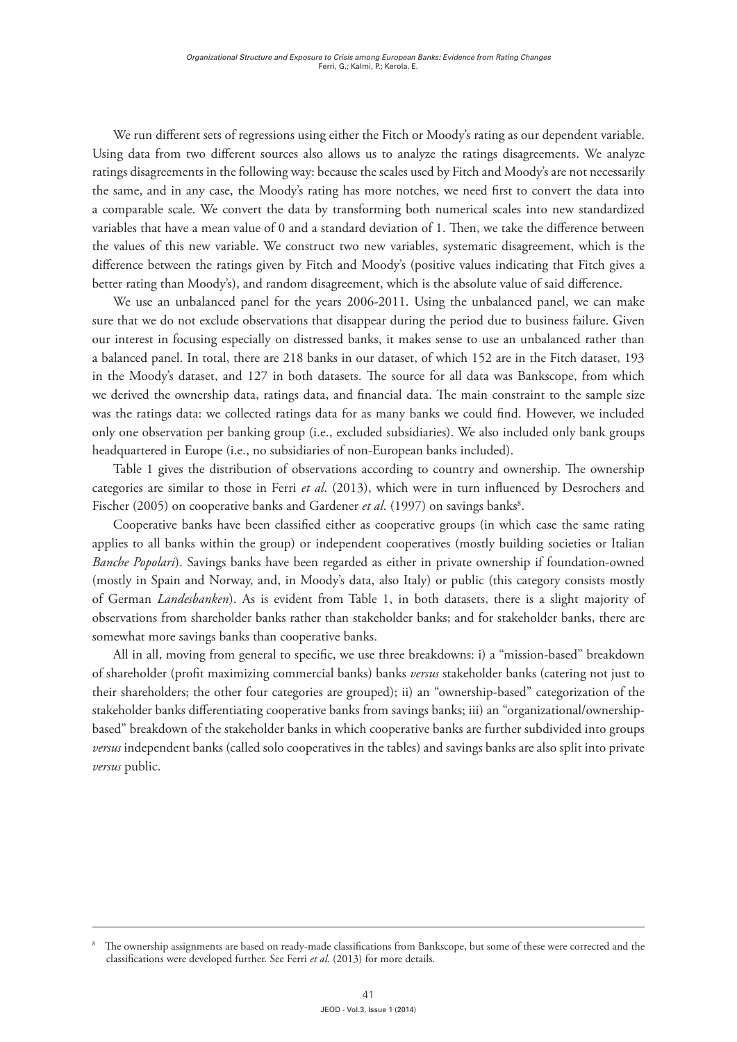We run different sets of regressions using either the Fitch or Moody's rating as our dependent variable. Using data from two different sources also allows us to analyze the ratings disagreements. We analyze ratings disagreements in the following way: because the scales used by Fitch and Moody's are not necessarily the same, and in any case, the Moody's rating has more notches, we need first to convert the data into a comparable scale. We convert the data by transforming both numerical scales into new standardized variables that have a mean value of 0 and a standard deviation of 1. Then, we take the difference between the values of this new variable. We construct two new variables, systematic disagreement, which is the difference between the ratings given by Fitch and Moody's (positive values indicating that Fitch gives a better rating than Moody's), and random disagreement, which is the absolute value of said difference.

We use an unbalanced panel for the years 2006-2011. Using the unbalanced panel, we can make sure that we do not exclude observations that disappear during the period due to business failure. Given our interest in focusing especially on distressed banks, it makes sense to use an unbalanced rather than a balanced panel. In total, there are 218 banks in our dataset, of which 152 are in the Fitch dataset, 193 in the Moody's dataset, and 127 in both datasets. The source for all data was Bankscope, from which we derived the ownership data, ratings data, and financial data. The main constraint to the sample size was the ratings data: we collected ratings data for as many banks we could find. However, we included only one observation per banking group (i.e., excluded subsidiaries). We also included only bank groups headquartered in Europe (i.e., no subsidiaries of non-European banks included).

Table 1 gives the distribution of observations according to country and ownership. The ownership categories are similar to those in Ferri *et al*. (2013), which were in turn influenced by Desrochers and Fischer (2005) on cooperative banks and Gardener *et al*. (1997) on savings banks<sup>8</sup>.

Cooperative banks have been classified either as cooperative groups (in which case the same rating applies to all banks within the group) or independent cooperatives (mostly building societies or Italian *Banche Popolari*). Savings banks have been regarded as either in private ownership if foundation-owned (mostly in Spain and Norway, and, in Moody's data, also Italy) or public (this category consists mostly of German *Landesbanken*). As is evident from Table 1, in both datasets, there is a slight majority of observations from shareholder banks rather than stakeholder banks; and for stakeholder banks, there are somewhat more savings banks than cooperative banks.

All in all, moving from general to specific, we use three breakdowns: i) a "mission-based" breakdown of shareholder (profit maximizing commercial banks) banks *versus* stakeholder banks (catering not just to their shareholders; the other four categories are grouped); ii) an "ownership-based" categorization of the stakeholder banks differentiating cooperative banks from savings banks; iii) an "organizational/ownershipbased" breakdown of the stakeholder banks in which cooperative banks are further subdivided into groups *versus* independent banks (called solo cooperatives in the tables) and savings banks are also split into private *versus* public.

The ownership assignments are based on ready-made classifications from Bankscope, but some of these were corrected and the classifications were developed further. See Ferri *et al*. (2013) for more details.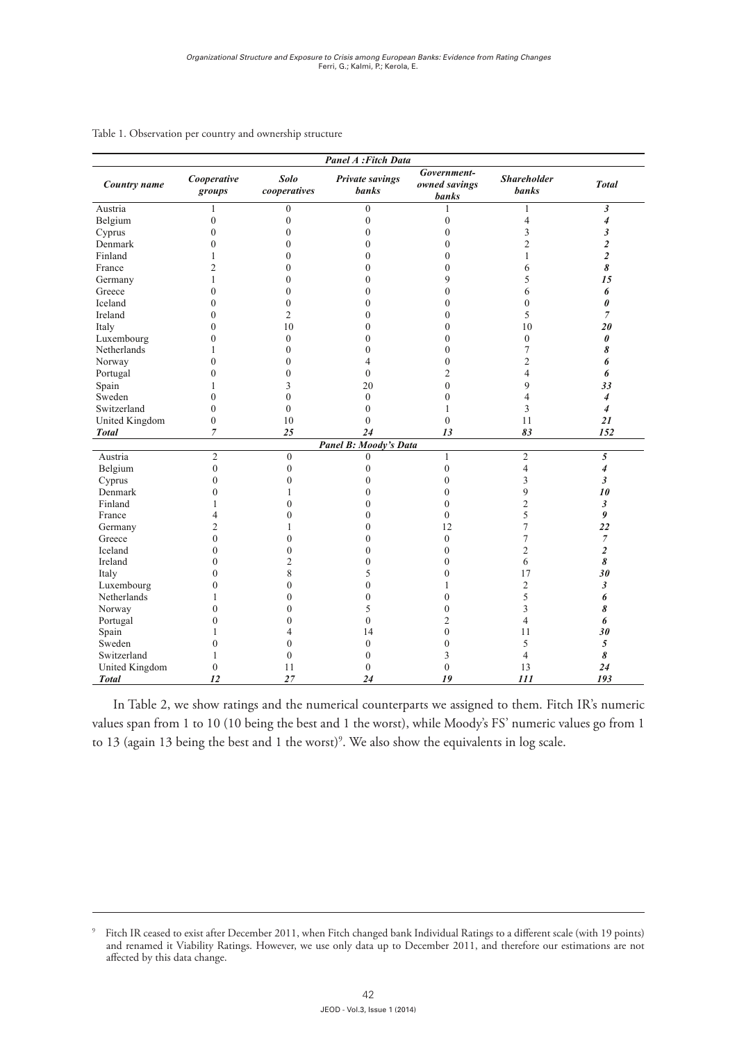| <b>Panel A</b> : Fitch Data |                       |                             |                                        |                                              |                                    |                         |  |  |
|-----------------------------|-----------------------|-----------------------------|----------------------------------------|----------------------------------------------|------------------------------------|-------------------------|--|--|
| Country name                | Cooperative<br>groups | <b>Solo</b><br>cooperatives | <b>Private savings</b><br><b>banks</b> | Government-<br>owned savings<br><b>banks</b> | <b>Shareholder</b><br><b>banks</b> | <b>Total</b>            |  |  |
| Austria                     | 1                     | $\mathbf{0}$                | $\mathbf{0}$                           |                                              | 1                                  | $\mathfrak{z}$          |  |  |
| Belgium                     | $\boldsymbol{0}$      | $\mathbf{0}$                | $\mathbf{0}$                           | $\mathbf{0}$                                 | $\overline{4}$                     | $\overline{4}$          |  |  |
| Cyprus                      | $\mathbf{0}$          | $\theta$                    | $\mathbf{0}$                           | $\mathbf{0}$                                 | 3                                  | 3                       |  |  |
| Denmark                     | 0                     | $\theta$                    | $\theta$                               | $\mathbf{0}$                                 | $\overline{2}$                     | $\boldsymbol{2}$        |  |  |
| Finland                     |                       | 0                           | $\theta$                               | $\mathbf{0}$                                 | 1                                  | $\overline{c}$          |  |  |
| France                      | 2                     | $\theta$                    | $\mathbf{0}$                           | $\boldsymbol{0}$                             | 6                                  | 8                       |  |  |
| Germany                     | 1                     | $\theta$                    | $\mathbf{0}$                           | 9                                            | 5                                  | 15                      |  |  |
| Greece                      | 0                     | $\theta$                    | $\theta$                               | $\mathbf{0}$                                 | 6                                  | 6                       |  |  |
| Iceland                     | 0                     | $\theta$                    | $\mathbf{0}$                           | $\boldsymbol{0}$                             | $\mathbf{0}$                       | 0                       |  |  |
| Ireland                     | 0                     | $\overline{2}$              | $\mathbf{0}$                           | $\mathbf{0}$                                 | 5                                  | $\overline{7}$          |  |  |
| Italy                       | $\theta$              | 10                          | $\theta$                               | $\mathbf{0}$                                 | 10                                 | 20                      |  |  |
| Luxembourg                  | $\boldsymbol{0}$      | $\theta$                    | $\mathbf{0}$                           | $\boldsymbol{0}$                             | $\mathbf{0}$                       | 0                       |  |  |
| Netherlands                 | 1                     | $\mathbf{0}$                | $\mathbf{0}$                           | $\mathbf{0}$                                 | 7                                  | 8                       |  |  |
| Norway                      | 0                     | $\theta$                    | 4                                      | $\mathbf{0}$                                 | 2                                  | 6                       |  |  |
| Portugal                    | 0                     | $\theta$                    | $\mathbf{0}$                           | $\overline{2}$                               | 4                                  | 6                       |  |  |
| Spain                       |                       | 3                           | 20                                     | $\boldsymbol{0}$                             | 9                                  | 33                      |  |  |
| Sweden                      | 0                     | $\theta$                    | $\mathbf{0}$                           | $\mathbf{0}$                                 | 4                                  | $\overline{4}$          |  |  |
| Switzerland                 | $\mathbf{0}$          | $\mathbf{0}$                | $\mathbf{0}$                           | 1                                            | 3                                  | $\overline{4}$          |  |  |
| United Kingdom              | $\boldsymbol{0}$      | 10                          | $\mathbf{0}$                           | $\boldsymbol{0}$                             | 11                                 | 21                      |  |  |
| <b>Total</b>                | $\overline{7}$        | 25                          | 24                                     | 13                                           | 83                                 | 152                     |  |  |
|                             |                       |                             | <b>Panel B: Moody's Data</b>           |                                              |                                    |                         |  |  |
| Austria                     | $\overline{2}$        | $\boldsymbol{0}$            | $\boldsymbol{0}$                       | $\mathbf{1}$                                 | $\overline{2}$                     | 5                       |  |  |
| Belgium                     | $\boldsymbol{0}$      | $\theta$                    | $\theta$                               | $\boldsymbol{0}$                             | 4                                  | 4                       |  |  |
| Cyprus                      | $\mathbf{0}$          | $\boldsymbol{0}$            | $\theta$                               | $\boldsymbol{0}$                             | 3                                  | 3                       |  |  |
| Denmark                     | $\theta$              |                             | $\theta$                               | $\mathbf{0}$                                 | 9                                  | 10                      |  |  |
| Finland                     |                       | 0                           | $\theta$                               | $\mathbf{0}$                                 | $\overline{c}$                     | 3                       |  |  |
| France                      | 4                     | 0                           | $\theta$                               | $\mathbf{0}$                                 | 5                                  | 9                       |  |  |
| Germany                     | 2                     |                             | $\theta$                               | 12                                           | 7                                  | 22                      |  |  |
| Greece                      | $\theta$              | 0                           | $\theta$                               | $\boldsymbol{0}$                             | 7                                  | 7                       |  |  |
| Iceland                     | 0                     | $\boldsymbol{0}$            | $\mathbf{0}$                           | $\mathbf{0}$                                 | 2                                  | $\overline{\mathbf{c}}$ |  |  |
| Ireland                     | 0                     | 2                           | $\mathbf{0}$                           | $\mathbf{0}$                                 | 6                                  | 8                       |  |  |
| Italy                       | 0                     | 8                           | 5                                      | $\boldsymbol{0}$                             | 17                                 | 30                      |  |  |
| Luxembourg                  | 0                     | $\boldsymbol{0}$            | $\mathbf{0}$                           | 1                                            | 2                                  | 3                       |  |  |
| Netherlands                 |                       | 0                           | $\theta$                               | $\mathbf{0}$                                 | 5                                  | 6                       |  |  |
| Norway                      | 0                     | $\theta$                    | 5                                      | $\boldsymbol{0}$                             | 3                                  | 8                       |  |  |
| Portugal                    | 0                     | 0                           | $\mathbf{0}$                           | 2                                            | 4                                  | 6                       |  |  |
| Spain                       |                       | 4                           | 14                                     | $\boldsymbol{0}$                             | 11                                 | 30                      |  |  |
| Sweden                      | 0                     | 0                           | $\mathbf{0}$                           | $\boldsymbol{0}$                             | 5                                  | 5                       |  |  |
| Switzerland                 |                       | 0                           | $\mathbf{0}$                           | 3                                            | 4                                  | 8                       |  |  |
| United Kingdom              | $\boldsymbol{0}$      | 11                          | $\boldsymbol{0}$                       | $\boldsymbol{0}$                             | 13                                 | 24                      |  |  |
| <b>Total</b>                | 12                    | 27                          | 24                                     | 19                                           | 111                                | 193                     |  |  |

# Table 1. Observation per country and ownership structure

In Table 2, we show ratings and the numerical counterparts we assigned to them. Fitch IR's numeric values span from 1 to 10 (10 being the best and 1 the worst), while Moody's FS' numeric values go from 1 to 13 (again 13 being the best and 1 the worst)<sup>9</sup>. We also show the equivalents in log scale.

<sup>9</sup> Fitch IR ceased to exist after December 2011, when Fitch changed bank Individual Ratings to a different scale (with 19 points) and renamed it Viability Ratings. However, we use only data up to December 2011, and therefore our estimations are not affected by this data change.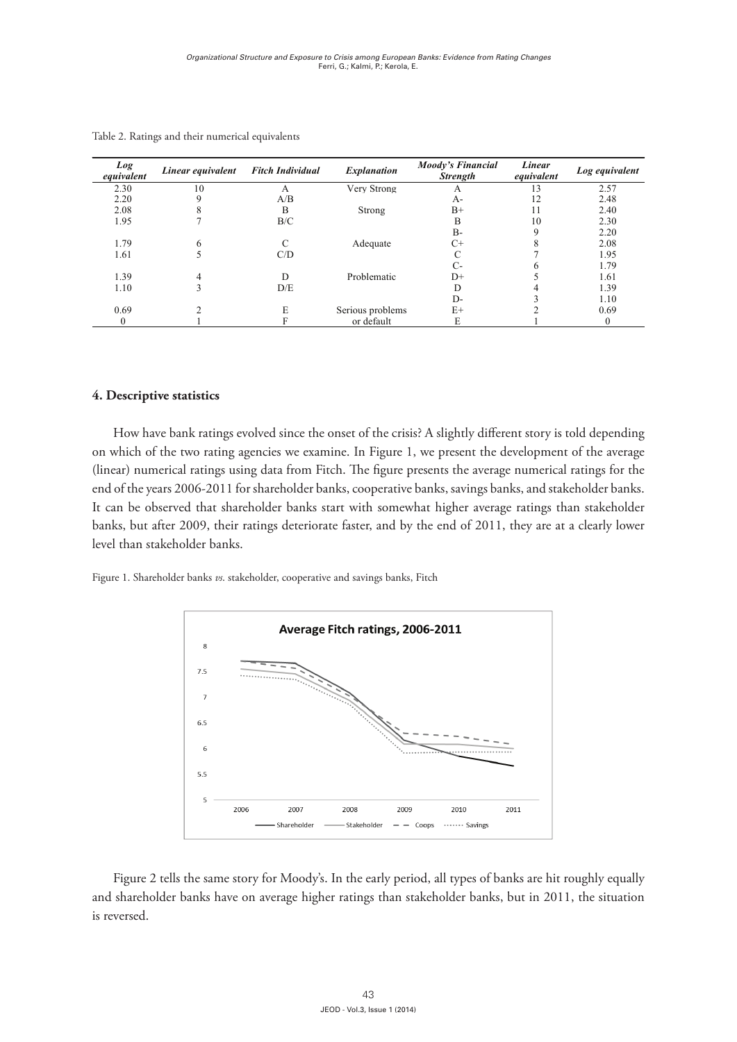| Log<br>equivalent | Linear equivalent | <b>Fitch Individual</b> | <b>Explanation</b> | <b>Moody's Financial</b><br><b>Strength</b> | Linear<br>equivalent | Log equivalent |
|-------------------|-------------------|-------------------------|--------------------|---------------------------------------------|----------------------|----------------|
| 2.30              | 10                | А                       | Very Strong        | А                                           | 13                   | 2.57           |
| 2.20              |                   | A/B                     |                    | A-                                          | 12                   | 2.48           |
| 2.08              |                   | B                       | Strong             | $B+$                                        | 11                   | 2.40           |
| 1.95              |                   | B/C                     |                    | B                                           | 10                   | 2.30           |
|                   |                   |                         |                    | $B -$                                       | Q                    | 2.20           |
| 1.79              | 6                 | C                       | Adequate           | $C+$                                        |                      | 2.08           |
| 1.61              |                   | C/D                     |                    |                                             |                      | 1.95           |
|                   |                   |                         |                    | С-                                          |                      | 1.79           |
| 1.39              | 4                 | D                       | Problematic        | $D+$                                        |                      | 1.61           |
| 1.10              |                   | D/E                     |                    |                                             |                      | 1.39           |
|                   |                   |                         |                    | D-                                          |                      | 1.10           |
| 0.69              |                   | E                       | Serious problems   | $E+$                                        |                      | 0.69           |
| $\Omega$          |                   |                         | or default         | E                                           |                      |                |

Table 2. Ratings and their numerical equivalents

# depending on which of the two rating agencies we examine. In Figure 1, we present the **4. Descriptive statistics**

Adequate How have bank ratings evolved since the onset of the crisis? A slightly different story is told depending banks, banks, banks, banks, and the two rating agencies we examine. In Figure 1, we present the development of the average  $\overline{c}$ (linear) numerical ratings using data from Fitch. The figure presents the average numerical ratings for the  $-h<sub>0</sub>$ 5 end of the years 2006-2011 for shareholder banks, cooperative banks, savings banks, and stakeholder banks. It can be observed that shareholder banks start with somewhat higher average ratings than stakeholder banks, but after 2009, their ratings deteriorate faster, and by the end of 2011, they are at a clearly lower on which of the two rating agencies we examine. In Figure 1, we present the development of the average level than stakeholder banks.

Figure 1. Shareholder banks *vs*. stakeholder, cooperative and savings banks, Fitch



Figure 2 tells the same story for Moody's. In the early period, all types of banks are hit roughly equally and shareholder banks have on average higher ratings than stakeholder banks, but in 2011, the situation is reversed.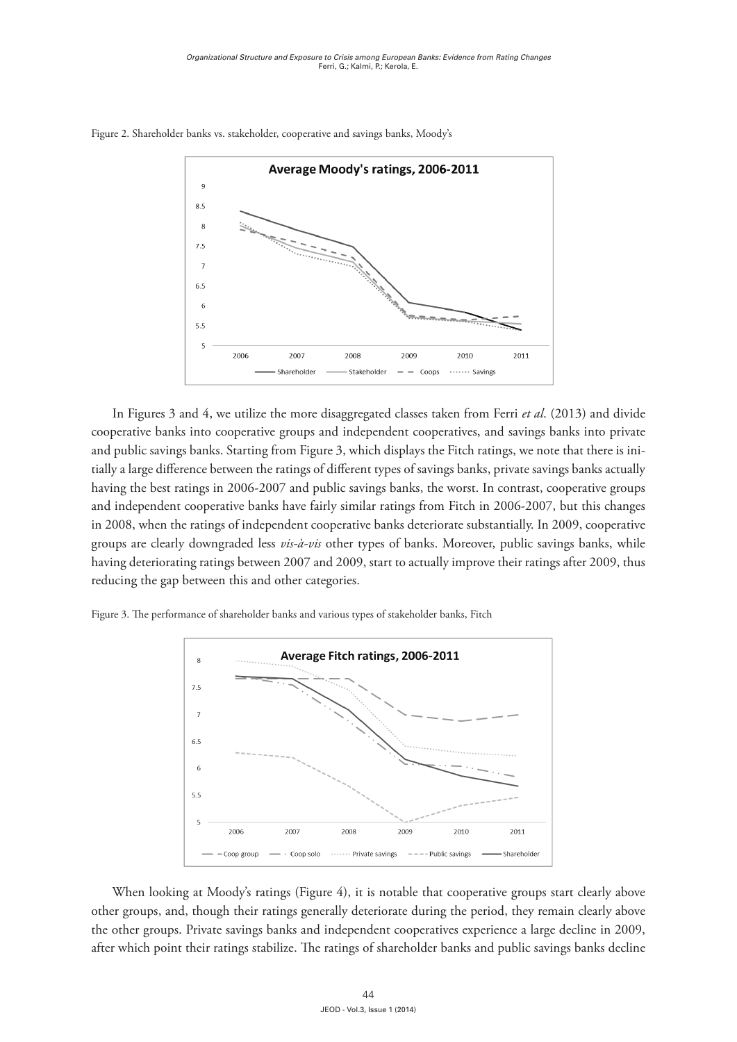

Figure 2. Shareholder banks vs. stakeholder, cooperative and savings banks, Moody's

having the best ratings in 2006-2007 and public savings banks, the worst. In contrast, cooperative groups In Figures 3 and 4, we utilize the more disaggregated classes taken from Ferri *et al*. (2013) In Figures 3 and 4, we utilize the more disaggregated classes taken from Ferri *et al*. (2013) and divide banks into cooperative groups and independent cooperatives, and equipme banks in cooperative banks into cooperative groups and independent cooperatives, and savings banks into private and public savings banks. Starting from Figure 3, which displays the Fitch ratings, we note that there is initially a large difference between the ratings of different types of savings banks, private savings banks actually and independent cooperative banks have fairly similar ratings from Fitch in 2006-2007, but this changes in 2008, when the ratings of independent cooperative banks deteriorate substantially. In 2009, cooperative groups are clearly downgraded less *vis-à-vis* other types of banks. Moreover, public savings banks, while having deteriorating ratings between 2007 and 2009, start to actually improve their ratings after 2009, thus reducing the gap between this and other categories.

Figure 3. The performance of shareholder banks and various types of stakeholder banks, Fitch



When looking at Moody's ratings (Figure 4), it is notable that cooperative groups start clearly above other groups, and, though their ratings generally deteriorate during the period, they remain clearly above the other groups. Private savings banks and independent cooperatives experience a large decline in 2009, after which point their ratings stabilize. The ratings of shareholder banks and public savings banks decline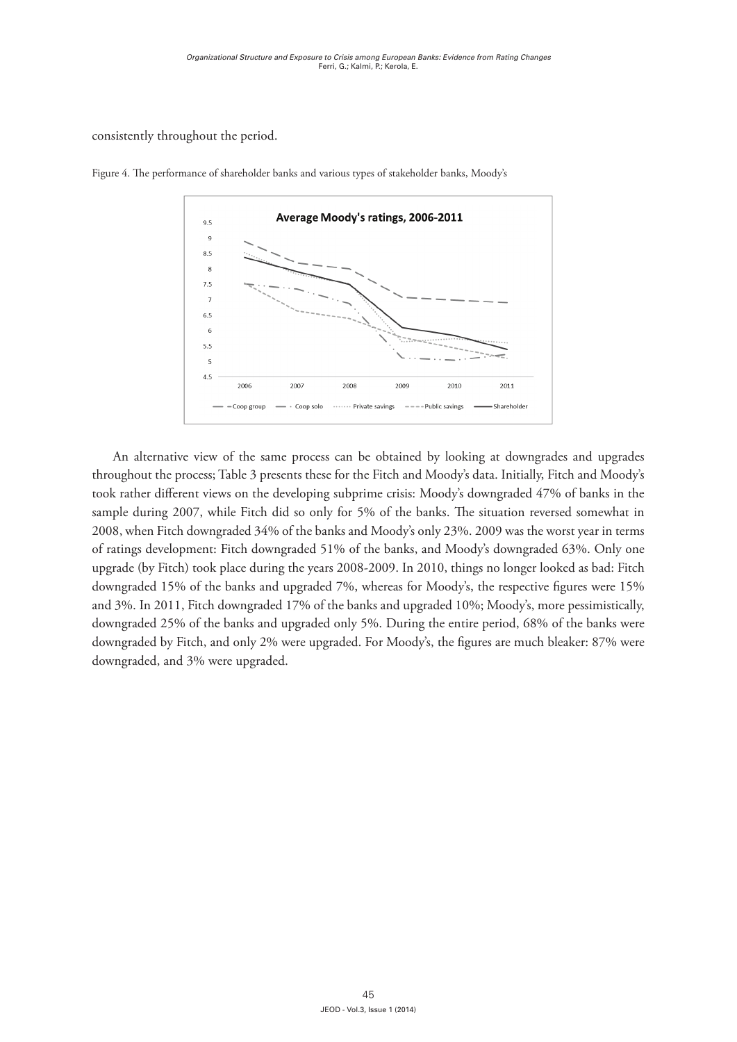consistently throughout the period.



Figure 4. The performance of shareholder banks and various types of stakeholder banks, Moody's

 $A = \alpha$  alternative view of the same process can be obtained by looking at downgrades and downgrades at downgrades and downgrades and downgrades at downgrades at downgrades and downgrades at downgrades at downgrades and do An alternative view of the same process can be obtained by looking at downgrades and upgrades Fitch and Moody's took rather different views on the developing subprime crisis: Moody's throughout the process; Table 3 presents these for the Fitch and Moody's data. Initially, Fitch and Moody's took rather different views on the developing subprime crisis: Moody's downgraded 47% of banks in the  $\sim$  2007 while Fitch did so only for 50% of the henks. The situation reversed sample during 2007, while Fitch did so only for 5% of the banks. The situation reversed somewhat in 2008, when Fitch downgraded 34% of the banks and Moody's only 23%. 2009 was the worst year in terms  $\mathbf{r}$  and  $\mathbf{r}$  and  $\mathbf{r}$  and  $\mathbf{r}$  and  $\mathbf{r}$  and  $\mathbf{r}$  and  $\mathbf{r}$  and  $\mathbf{r}$  and  $\mathbf{r}$  and  $\mathbf{r}$  and  $\mathbf{r}$  and  $\mathbf{r}$  and  $\mathbf{r}$  and  $\mathbf{r}$  and  $\mathbf{r}$  and  $\mathbf{r}$  and  $\mathbf{r}$  and of ratings development: Fitch downgraded 51% of the banks, and Moody's downgraded 63%. Only one itch) took place during the vears  $2008-2009$  In  $2010$ , things no longer looked upgrade (by Fitch) took place during the years 2008-2009. In 2010, things no longer looked as bad: Fitch<br>. downgraded 15% of the banks and upgraded 7%, whereas for Moody's, the respective figures were 15% and 3%. In 2011, Fitch downgraded 17% of the banks and upgraded 10%; Moody's, more pessimistically, **OBSERVATIONS** downgraded 25% of the banks and upgraded only 5%. During the entire period, 68% of the banks were downgraded by Fitch, and only 2% were upgraded. For Moody's, the figures are much bleaker: 87% were downgraded, and 3% were upgraded.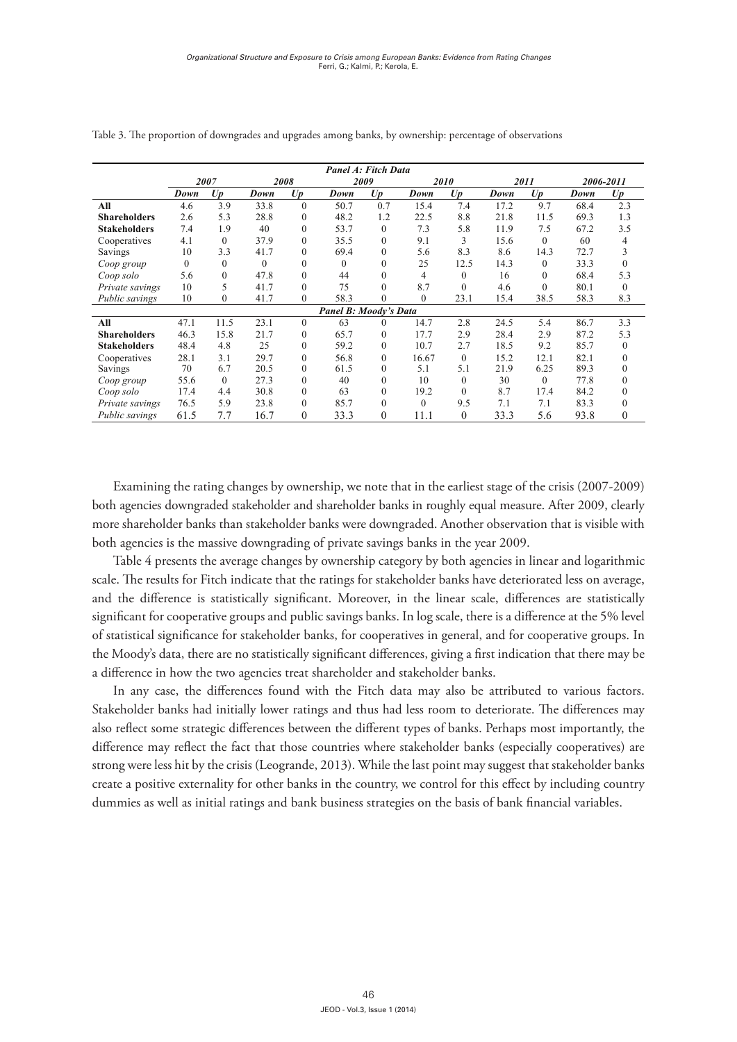|                     |          |              |          |              | <b>Panel A: Fitch Data</b>   |              |          |              |      |          |      |                |
|---------------------|----------|--------------|----------|--------------|------------------------------|--------------|----------|--------------|------|----------|------|----------------|
|                     |          | 2007         |          | 2008         |                              | 2009         |          | 2010         |      | 2011     |      | 2006-2011      |
|                     | Down     | Up           | Down     | U p          | Down                         | U p          | Down     | U p          | Down | U p      | Down | U p            |
| All                 | 4.6      | 3.9          | 33.8     | $\mathbf{0}$ | 50.7                         | 0.7          | 15.4     | 7.4          | 17.2 | 9.7      | 68.4 | 2.3            |
| <b>Shareholders</b> | 2.6      | 5.3          | 28.8     | $\mathbf{0}$ | 48.2                         | 1.2          | 22.5     | 8.8          | 21.8 | 11.5     | 69.3 | 1.3            |
| <b>Stakeholders</b> | 7.4      | 1.9          | 40       | $\mathbf{0}$ | 53.7                         | $\Omega$     | 7.3      | 5.8          | 11.9 | 7.5      | 67.2 | 3.5            |
| Cooperatives        | 4.1      | $\theta$     | 37.9     | $\mathbf{0}$ | 35.5                         | $\Omega$     | 9.1      | 3            | 15.6 | $\theta$ | 60   | 4              |
| Savings             | 10       | 3.3          | 41.7     | $\mathbf{0}$ | 69.4                         | $\mathbf{0}$ | 5.6      | 8.3          | 8.6  | 14.3     | 72.7 | 3              |
| Coop group          | $\Omega$ | $\Omega$     | $\Omega$ | $\theta$     | $\Omega$                     | $\theta$     | 25       | 12.5         | 14.3 | $\theta$ | 33.3 | $\theta$       |
| Coop solo           | 5.6      | $\Omega$     | 47.8     | $\theta$     | 44                           | $\Omega$     | 4        | $\mathbf{0}$ | 16   | $\theta$ | 68.4 | 5.3            |
| Private savings     | 10       | 5            | 41.7     | $\Omega$     | 75                           | $\Omega$     | 8.7      | $\theta$     | 4.6  | $\Omega$ | 80.1 | $\Omega$       |
| Public savings      | 10       | $\mathbf{0}$ | 41.7     | $\mathbf{0}$ | 58.3                         | $\mathbf{0}$ | $\Omega$ | 23.1         | 15.4 | 38.5     | 58.3 | 8.3            |
|                     |          |              |          |              | <b>Panel B: Moody's Data</b> |              |          |              |      |          |      |                |
| All                 | 47.1     | 11.5         | 23.1     | $\theta$     | 63                           | $\Omega$     | 14.7     | 2.8          | 24.5 | 5.4      | 86.7 | 3.3            |
| <b>Shareholders</b> | 46.3     | 15.8         | 21.7     | $\mathbf{0}$ | 65.7                         | $\theta$     | 17.7     | 2.9          | 28.4 | 2.9      | 87.2 | 5.3            |
| <b>Stakeholders</b> | 48.4     | 4.8          | 25       | $\mathbf{0}$ | 59.2                         | $\Omega$     | 10.7     | 2.7          | 18.5 | 9.2      | 85.7 | $\overline{0}$ |
| Cooperatives        | 28.1     | 3.1          | 29.7     | $\mathbf{0}$ | 56.8                         | $\theta$     | 16.67    | $\mathbf{0}$ | 15.2 | 12.1     | 82.1 | $\theta$       |
| Savings             | 70       | 6.7          | 20.5     | $\mathbf{0}$ | 61.5                         | $\theta$     | 5.1      | 5.1          | 21.9 | 6.25     | 89.3 | $\overline{0}$ |
| Coop group          | 55.6     | $\Omega$     | 27.3     | $\mathbf{0}$ | 40                           | $\Omega$     | 10       | $\mathbf{0}$ | 30   | $\theta$ | 77.8 | $\theta$       |
| Coop solo           | 17.4     | 4.4          | 30.8     | $\mathbf{0}$ | 63                           | $\Omega$     | 19.2     | $\theta$     | 8.7  | 17.4     | 84.2 | 0              |
| Private savings     | 76.5     | 5.9          | 23.8     | $\mathbf{0}$ | 85.7                         | $\theta$     | $\Omega$ | 9.5          | 7.1  | 7.1      | 83.3 | $\overline{0}$ |
| Public savings      | 61.5     | 7.7          | 16.7     | $\theta$     | 33.3                         | $\theta$     | 11.1     | $\theta$     | 33.3 | 5.6      | 93.8 | $\theta$       |

Table 3. The proportion of downgrades and upgrades among banks, by ownership: percentage of observations

Examining the rating changes by ownership, we note that in the earliest stage of the crisis (2007-2009) both agencies downgraded stakeholder and shareholder banks in roughly equal measure. After 2009, clearly more shareholder banks than stakeholder banks were downgraded. Another observation that is visible with both agencies is the massive downgrading of private savings banks in the year 2009. measure. After 2009, clearly more shareholder banks than stakeholder banks were downgraded.  $\alpha$  examining the rating changes by ownership, we note that in the earliest stage of the crisis (2007-2005)

Table 4 presents the average changes by ownership category by both agencies in linear and logarithmic scale. The results for Fitch indicate that the ratings for stakeholder banks have deteriorated less on average, and the difference is statistically significant. Moreover, in the linear scale, differences are statistically significant for cooperative groups and public savings banks. In log scale, there is a difference at the 5% level of statistical significance for stakeholder banks, for cooperatives in general, and for cooperative groups. In the Moody's data, there are no statistically significant differences, giving a first indication that there may be a difference in how the two agencies treat shareholder and stakeholder banks. scale in presents the average enarges by ownership category by both agencies in linear and logarithmic State holder banks had in the statistically significant uncleated, giving a first indication that there may be

In any case, the differences found with the Fitch data may also be attributed to various factors. Stakeholder banks had initially lower ratings and thus had less room to deteriorate. The differences may also reflect some strategic differences between the different types of banks. Perhaps most importantly, the difference may reflect the fact that those countries where stakeholder banks (especially cooperatives) are strong were less hit by the crisis (Leogrande, 2013). While the last point may suggest that stakeholder banks create a positive externality for other banks in the country, we control for this effect by including country dummies as well as initial ratings and bank business strategies on the basis of bank financial variables.  $\frac{1}{2}$  strategies on the basis of bank financial variables.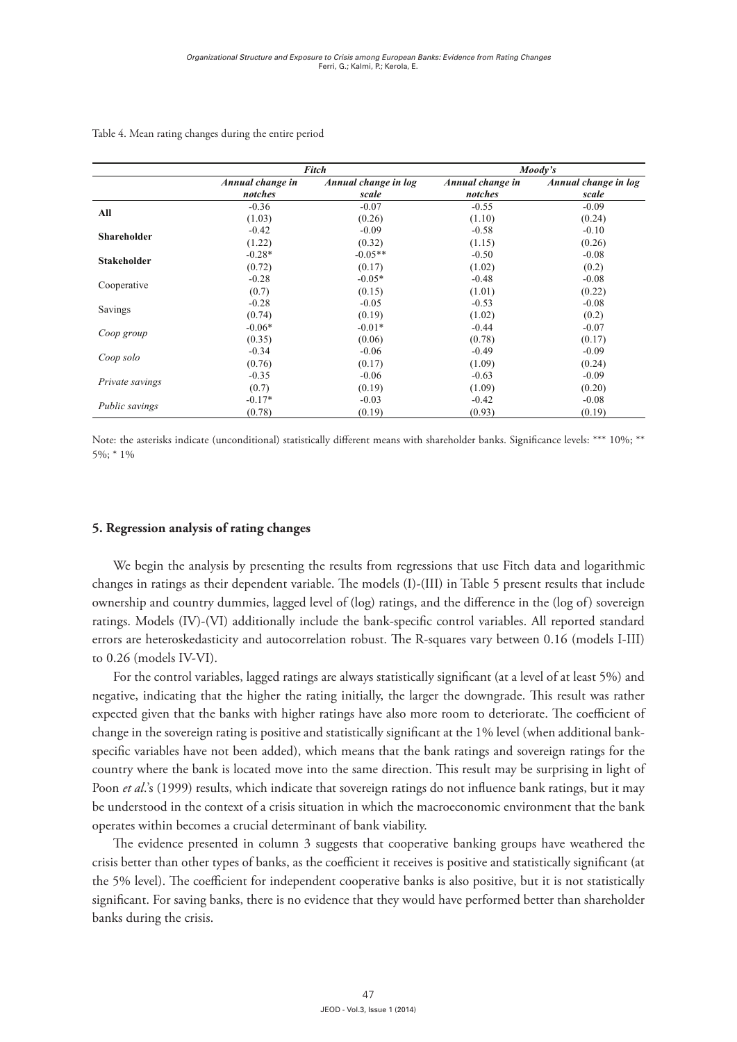|                    |                             | Fitch                         |                             | Moody's                       |
|--------------------|-----------------------------|-------------------------------|-----------------------------|-------------------------------|
|                    | Annual change in<br>notches | Annual change in log<br>scale | Annual change in<br>notches | Annual change in log<br>scale |
| All                | $-0.36$                     | $-0.07$                       | $-0.55$                     | $-0.09$                       |
|                    | (1.03)                      | (0.26)                        | (1.10)                      | (0.24)                        |
| <b>Shareholder</b> | $-0.42$                     | $-0.09$                       | $-0.58$                     | $-0.10$                       |
|                    | (1.22)                      | (0.32)                        | (1.15)                      | (0.26)                        |
| <b>Stakeholder</b> | $-0.28*$                    | $-0.05**$                     | $-0.50$                     | $-0.08$                       |
|                    | (0.72)                      | (0.17)                        | (1.02)                      | (0.2)                         |
|                    | $-0.28$                     | $-0.05*$                      | $-0.48$                     | $-0.08$                       |
| Cooperative        | (0.7)                       | (0.15)                        | (1.01)                      | (0.22)                        |
|                    | $-0.28$                     | $-0.05$                       | $-0.53$                     | $-0.08$                       |
| Savings            | (0.74)                      | (0.19)                        | (1.02)                      | (0.2)                         |
|                    | $-0.06*$                    | $-0.01*$                      | $-0.44$                     | $-0.07$                       |
| Coop group         | (0.35)                      | (0.06)                        | (0.78)                      | (0.17)                        |
|                    | $-0.34$                     | $-0.06$                       | $-0.49$                     | $-0.09$                       |
| Coop solo          | (0.76)                      | (0.17)                        | (1.09)                      | (0.24)                        |
|                    | $-0.35$                     | $-0.06$                       | $-0.63$                     | $-0.09$                       |
| Private savings    | (0.7)                       | (0.19)                        | (1.09)                      | (0.20)                        |
|                    | $-0.17*$                    | $-0.03$                       | $-0.42$                     | $-0.08$                       |
| Public savings     | (0.78)                      | (0.19)                        | (0.93)                      | (0.19)                        |

Table 4. Mean rating changes during the entire period

Note: the asterisks indicate (unconditional) statistically different means with shareholder banks. Significance levels: \*\*\* 10%; \*\* 5%; \* 1%

### **5. Regression analysis of rating changes**

We begin the analysis by presenting the results from regressions that use Fitch data and logarithmic changes in ratings as their dependent variable. The models (I)-(III) in Table 5 present results that include ownership and country dummies, lagged level of (log) ratings, and the difference in the (log of) sovereign ratings. Models (IV)-(VI) additionally include the bank-specific control variables. All reported standard errors are heteroskedasticity and autocorrelation robust. The R-squares vary between 0.16 (models I-III) to 0.26 (models IV-VI).

For the control variables, lagged ratings are always statistically significant (at a level of at least 5%) and negative, indicating that the higher the rating initially, the larger the downgrade. This result was rather expected given that the banks with higher ratings have also more room to deteriorate. The coefficient of change in the sovereign rating is positive and statistically significant at the 1% level (when additional bankspecific variables have not been added), which means that the bank ratings and sovereign ratings for the country where the bank is located move into the same direction. This result may be surprising in light of Poon *et al.*'s (1999) results, which indicate that sovereign ratings do not influence bank ratings, but it may be understood in the context of a crisis situation in which the macroeconomic environment that the bank operates within becomes a crucial determinant of bank viability.

The evidence presented in column 3 suggests that cooperative banking groups have weathered the crisis better than other types of banks, as the coefficient it receives is positive and statistically significant (at the 5% level). The coefficient for independent cooperative banks is also positive, but it is not statistically significant. For saving banks, there is no evidence that they would have performed better than shareholder banks during the crisis.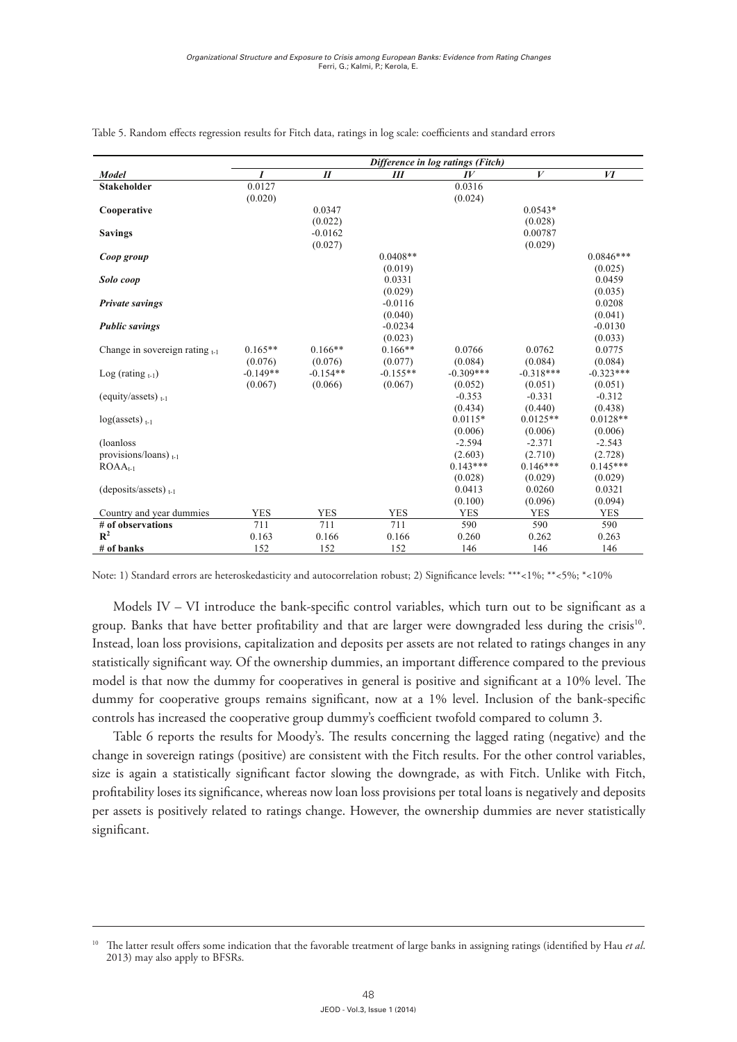|                                     | Difference in log ratings (Fitch) |                  |            |             |                  |             |  |
|-------------------------------------|-----------------------------------|------------------|------------|-------------|------------------|-------------|--|
| Model                               | $\boldsymbol{I}$                  | $\boldsymbol{H}$ | Ш          | $I\bar{V}$  | $\boldsymbol{V}$ | И           |  |
| <b>Stakeholder</b>                  | 0.0127                            |                  |            | 0.0316      |                  |             |  |
|                                     | (0.020)                           |                  |            | (0.024)     |                  |             |  |
| Cooperative                         |                                   | 0.0347           |            |             | $0.0543*$        |             |  |
|                                     |                                   | (0.022)          |            |             | (0.028)          |             |  |
| <b>Savings</b>                      |                                   | $-0.0162$        |            |             | 0.00787          |             |  |
|                                     |                                   | (0.027)          |            |             | (0.029)          |             |  |
| Coop group                          |                                   |                  | $0.0408**$ |             |                  | $0.0846***$ |  |
|                                     |                                   |                  | (0.019)    |             |                  | (0.025)     |  |
| Solo coop                           |                                   |                  | 0.0331     |             |                  | 0.0459      |  |
|                                     |                                   |                  | (0.029)    |             |                  | (0.035)     |  |
| <b>Private savings</b>              |                                   |                  | $-0.0116$  |             |                  | 0.0208      |  |
|                                     |                                   |                  | (0.040)    |             |                  | (0.041)     |  |
| <b>Public savings</b>               |                                   |                  | $-0.0234$  |             |                  | $-0.0130$   |  |
|                                     |                                   |                  | (0.023)    |             |                  | (0.033)     |  |
| Change in sovereign rating $_{t-1}$ | $0.165**$                         | $0.166**$        | $0.166**$  | 0.0766      | 0.0762           | 0.0775      |  |
|                                     | (0.076)                           | (0.076)          | (0.077)    | (0.084)     | (0.084)          | (0.084)     |  |
| Log (rating $_{t-1}$ )              | $-0.149**$                        | $-0.154**$       | $-0.155**$ | $-0.309***$ | $-0.318***$      | $-0.323***$ |  |
|                                     | (0.067)                           | (0.066)          | (0.067)    | (0.052)     | (0.051)          | (0.051)     |  |
| (equity/assets) $_{t-1}$            |                                   |                  |            | $-0.353$    | $-0.331$         | $-0.312$    |  |
|                                     |                                   |                  |            | (0.434)     | (0.440)          | (0.438)     |  |
| $log(asserts)_{t-1}$                |                                   |                  |            | $0.0115*$   | $0.0125**$       | $0.0128**$  |  |
|                                     |                                   |                  |            | (0.006)     | (0.006)          | (0.006)     |  |
| (loanloss)                          |                                   |                  |            | $-2.594$    | $-2.371$         | $-2.543$    |  |
| provisions/loans) $_{t-1}$          |                                   |                  |            | (2.603)     | (2.710)          | (2.728)     |  |
| $ROAAt-1$                           |                                   |                  |            | $0.143***$  | $0.146***$       | $0.145***$  |  |
|                                     |                                   |                  |            | (0.028)     | (0.029)          | (0.029)     |  |
| (deposits/assets) $_{t-1}$          |                                   |                  |            | 0.0413      | 0.0260           | 0.0321      |  |
|                                     |                                   |                  |            | (0.100)     | (0.096)          | (0.094)     |  |
| Country and year dummies            | <b>YES</b>                        | <b>YES</b>       | <b>YES</b> | <b>YES</b>  | <b>YES</b>       | <b>YES</b>  |  |
| # of observations                   | 711                               | 711              | 711        | 590         | 590              | 590         |  |
| $\mathbf{R}^2$                      | 0.163                             | 0.166            | 0.166      | 0.260       | 0.262            | 0.263       |  |
| $#$ of banks                        | 152                               | 152              | 152        | 146         | 146              | 146         |  |

Table 5. Random effects regression results for Fitch data, ratings in log scale: coefficients and standard errors

Note: 1) Standard errors are heteroskedasticity and autocorrelation robust; 2) Significance levels: \*\*\*<1%; \*\*<5%; \*<10%

group. Banks that have better profitability and that are larger were downgraded less during the crisis<sup>10</sup>. Models IV – VI introduce the bank-specific control variables, which turn out to be significant as a Instead, loan loss provisions, capitalization and deposits per assets are not related to ratings changes in any statistically significant way. Of the ownership dummies, an important difference compared to the previous model is that now the dummy for cooperatives in general is positive and significant at a 10% level. The dummy for cooperative groups remains significant, now at a 1% level. Inclusion of the bank-specific controls has increased the cooperative group dummy's coefficient twofold compared to column 3.

Table 6 reports the results for Moody's. The results concerning the lagged rating (negative) and the change in sovereign ratings (positive) are consistent with the Fitch results. For the other control variables, size is again a statistically significant factor slowing the downgrade, as with Fitch. Unlike with Fitch, profitability loses its significance, whereas now loan loss provisions per total loans is negatively and deposits per assets is positively related to ratings change. However, the ownership dummies are never statistically significant.

<sup>10</sup> The latter result offers some indication that the favorable treatment of large banks in assigning ratings (identified by Hau *et al*. 2013) may also apply to BFSRs.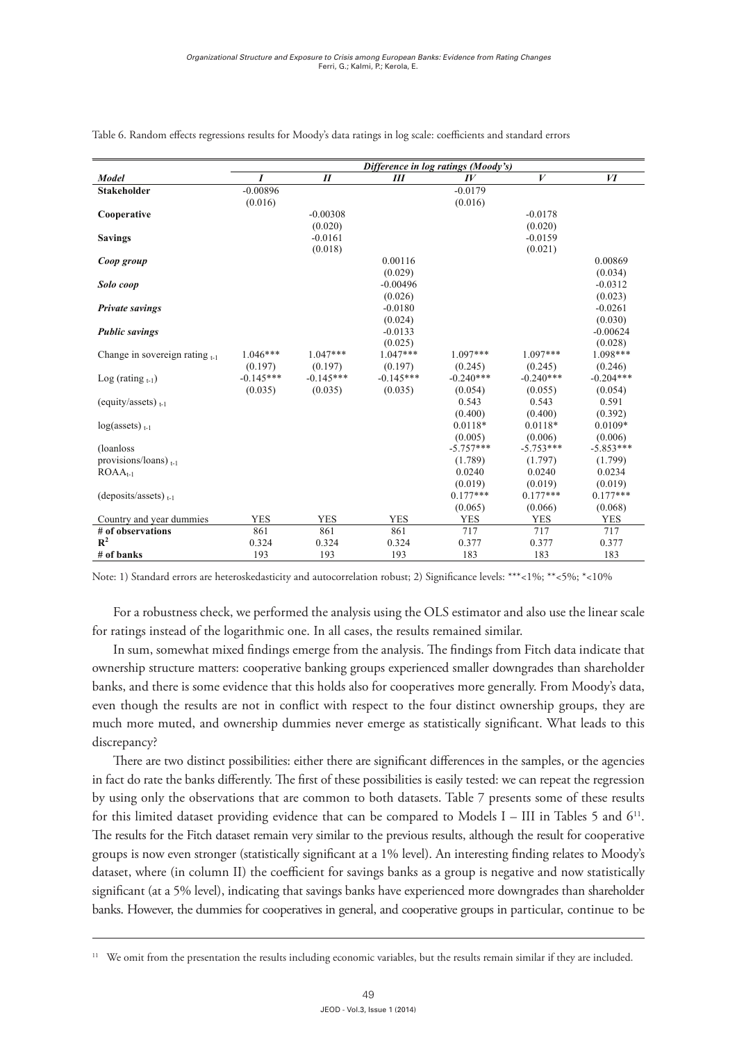|                                     | Difference in log ratings (Moody's) |                            |             |             |                  |             |  |
|-------------------------------------|-------------------------------------|----------------------------|-------------|-------------|------------------|-------------|--|
| <b>Model</b>                        | $\boldsymbol{I}$                    | $\boldsymbol{\mathit{II}}$ | Ш           | $I\bar{V}$  | $\boldsymbol{V}$ | VI          |  |
| <b>Stakeholder</b>                  | $-0.00896$                          |                            |             | $-0.0179$   |                  |             |  |
|                                     | (0.016)                             |                            |             | (0.016)     |                  |             |  |
| Cooperative                         |                                     | $-0.00308$                 |             |             | $-0.0178$        |             |  |
|                                     |                                     | (0.020)                    |             |             | (0.020)          |             |  |
| <b>Savings</b>                      |                                     | $-0.0161$                  |             |             | $-0.0159$        |             |  |
|                                     |                                     | (0.018)                    |             |             | (0.021)          |             |  |
| Coop group                          |                                     |                            | 0.00116     |             |                  | 0.00869     |  |
|                                     |                                     |                            | (0.029)     |             |                  | (0.034)     |  |
| Solo coop                           |                                     |                            | $-0.00496$  |             |                  | $-0.0312$   |  |
|                                     |                                     |                            | (0.026)     |             |                  | (0.023)     |  |
| <b>Private savings</b>              |                                     |                            | $-0.0180$   |             |                  | $-0.0261$   |  |
|                                     |                                     |                            | (0.024)     |             |                  | (0.030)     |  |
| <b>Public savings</b>               |                                     |                            | $-0.0133$   |             |                  | $-0.00624$  |  |
|                                     |                                     |                            | (0.025)     |             |                  | (0.028)     |  |
| Change in sovereign rating $_{t-1}$ | $1.046***$                          | $1.047***$                 | $1.047***$  | $1.097***$  | $1.097***$       | 1.098***    |  |
|                                     | (0.197)                             | (0.197)                    | (0.197)     | (0.245)     | (0.245)          | (0.246)     |  |
| Log (rating $_{t-1}$ )              | $-0.145***$                         | $-0.145***$                | $-0.145***$ | $-0.240***$ | $-0.240***$      | $-0.204***$ |  |
|                                     | (0.035)                             | (0.035)                    | (0.035)     | (0.054)     | (0.055)          | (0.054)     |  |
| (equity/assets) $_{t-1}$            |                                     |                            |             | 0.543       | 0.543            | 0.591       |  |
|                                     |                                     |                            |             | (0.400)     | (0.400)          | (0.392)     |  |
| $log(asserts)_{t-1}$                |                                     |                            |             | $0.0118*$   | $0.0118*$        | $0.0109*$   |  |
|                                     |                                     |                            |             | (0.005)     | (0.006)          | (0.006)     |  |
| (loanloss)                          |                                     |                            |             | $-5.757***$ | $-5.753***$      | $-5.853***$ |  |
| provisions/loans) $_{t-1}$          |                                     |                            |             | (1.789)     | (1.797)          | (1.799)     |  |
| $ROAAt-1$                           |                                     |                            |             | 0.0240      | 0.0240           | 0.0234      |  |
|                                     |                                     |                            |             | (0.019)     | (0.019)          | (0.019)     |  |
| (deposits/assets) $_{t-1}$          |                                     |                            |             | $0.177***$  | $0.177***$       | $0.177***$  |  |
|                                     |                                     |                            |             | (0.065)     | (0.066)          | (0.068)     |  |
| Country and year dummies            | <b>YES</b>                          | <b>YES</b>                 | <b>YES</b>  | <b>YES</b>  | <b>YES</b>       | <b>YES</b>  |  |
| # of observations                   | 861                                 | 861                        | 861         | 717         | 717              | 717         |  |
| $R^2$                               | 0.324                               | 0.324                      | 0.324       | 0.377       | 0.377            | 0.377       |  |
| # of banks                          | 193                                 | 193                        | 193         | 183         | 183              | 183         |  |

Table 6. Random effects regressions results for Moody's data ratings in log scale: coefficients and standard errors

Note: 1) Standard errors are heteroskedasticity and autocorrelation robust; 2) Significance levels: \*\*\*<1%; \*\*<5%; \*<10%

For a robustness check, we performed the analysis using the OLS estimator and also use the linear scale for ratings instead of the logarithmic one. In all cases, the results remained similar.

even though the results are not in conflict with respect to the four distinct ownership groups, they are In sum, somewhat mixed findings emerge from the analysis. The findings from Fitch data indicate that ownership structure matters: cooperative banking groups experienced smaller downgrades than shareholder banks, and there is some evidence that this holds also for cooperatives more generally. From Moody's data, much more muted, and ownership dummies never emerge as statistically significant. What leads to this discrepancy?

There are two distinct possibilities: either there are significant differences in the samples, or the agencies in fact do rate the banks differently. The first of these possibilities is easily tested: we can repeat the regression by using only the observations that are common to both datasets. Table 7 presents some of these results for this limited dataset providing evidence that can be compared to Models I – III in Tables 5 and  $6^{11}$ . The results for the Fitch dataset remain very similar to the previous results, although the result for cooperative groups is now even stronger (statistically significant at a 1% level). An interesting finding relates to Moody's dataset, where (in column II) the coefficient for savings banks as a group is negative and now statistically significant (at a 5% level), indicating that savings banks have experienced more downgrades than shareholder banks. However, the dummies for cooperatives in general, and cooperative groups in particular, continue to be

<sup>&</sup>lt;sup>11</sup> We omit from the presentation the results including economic variables, but the results remain similar if they are included.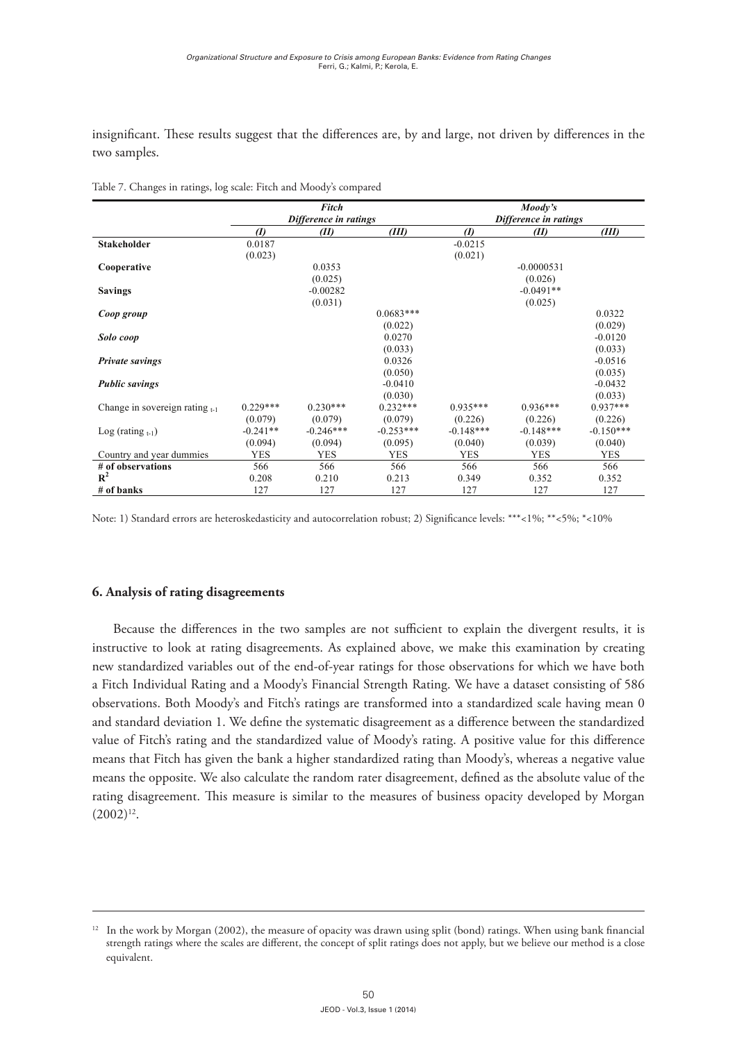insignificant. These results suggest that the differences are, by and large, not driven by differences in the two samples. isignificant. These results suggest that the differences are, by and large, not driven by differences in the

|                                     |                  | Fitch                 |             |                       | Moody's      |             |  |
|-------------------------------------|------------------|-----------------------|-------------|-----------------------|--------------|-------------|--|
|                                     |                  | Difference in ratings |             | Difference in ratings |              |             |  |
|                                     | $\boldsymbol{I}$ | (II)                  | (III)       | $\boldsymbol{v}$      | (II)         | (III)       |  |
| <b>Stakeholder</b>                  | 0.0187           |                       |             | $-0.0215$             |              |             |  |
|                                     | (0.023)          |                       |             | (0.021)               |              |             |  |
| Cooperative                         |                  | 0.0353                |             |                       | $-0.0000531$ |             |  |
|                                     |                  | (0.025)               |             |                       | (0.026)      |             |  |
| <b>Savings</b>                      |                  | $-0.00282$            |             |                       | $-0.0491**$  |             |  |
|                                     |                  | (0.031)               |             |                       | (0.025)      |             |  |
| Coop group                          |                  |                       | $0.0683***$ |                       |              | 0.0322      |  |
|                                     |                  |                       | (0.022)     |                       |              | (0.029)     |  |
| Solo coop                           |                  |                       | 0.0270      |                       |              | $-0.0120$   |  |
|                                     |                  |                       | (0.033)     |                       |              | (0.033)     |  |
| <b>Private savings</b>              |                  |                       | 0.0326      |                       |              | $-0.0516$   |  |
|                                     |                  |                       | (0.050)     |                       |              | (0.035)     |  |
| <b>Public savings</b>               |                  |                       | $-0.0410$   |                       |              | $-0.0432$   |  |
|                                     |                  |                       | (0.030)     |                       |              | (0.033)     |  |
| Change in sovereign rating $_{t-1}$ | $0.229***$       | $0.230***$            | $0.232***$  | $0.935***$            | $0.936***$   | $0.937***$  |  |
|                                     | (0.079)          | (0.079)               | (0.079)     | (0.226)               | (0.226)      | (0.226)     |  |
| Log (rating $_{t-1}$ )              | $-0.241**$       | $-0.246***$           | $-0.253***$ | $-0.148***$           | $-0.148***$  | $-0.150***$ |  |
|                                     | (0.094)          | (0.094)               | (0.095)     | (0.040)               | (0.039)      | (0.040)     |  |
| Country and year dummies            | <b>YES</b>       | <b>YES</b>            | <b>YES</b>  | <b>YES</b>            | <b>YES</b>   | <b>YES</b>  |  |
| # of observations                   | 566              | 566                   | 566         | 566                   | 566          | 566         |  |
| $\mathbb{R}^2$                      | 0.208            | 0.210                 | 0.213       | 0.349                 | 0.352        | 0.352       |  |
| # of banks                          | 127              | 127                   | 127         | 127                   | 127          | 127         |  |

Table 7. Changes in ratings, log scale: Fitch and Moody's compared

Note: 1) Standard errors are heteroskedasticity and autocorrelation robust; 2) Significance levels: \*\*\*<1%; \*\*<5%; \*<10%

# creating new standardized variables out of the end-of-year ratings for those observations for which **6. Analysis of rating disagreements**

15 and standard deviation 1. We define the systematic disagreement as a difference between the standardized Because the differences in the two samples are not sufficient to explain the divergent results, it is instructive to look at rating disagreements. As explained above, we make this examination by creating  $\frac{1}{1}$  between the standardized value of  $\frac{1}{1}$  rating and the standardized value of  $\frac{1}{1}$  rating and the standardized value of  $\frac{1}{1}$  rating and the standardized value of  $\frac{1}{1}$  rating and the standardize 11 a Fitch Individual Rating and a Moody's Financial Strength Rating. We have a dataset consisting of 586<br>absorptions, Bath Moody's and Eitch's ratings are transformed into a standardized solo having mean 0. observations. Both Moody's and Fitch's ratings are transformed into a standardized scale having mean 0 new standardized variables out of the end-of-year ratings for those observations for which we have both value of Fitch's rating and the standardized value of Moody's rating. A positive value for this difference means that Fitch has given the bank a higher standardized rating than Moody's, whereas a negative value means the opposite. We also calculate the random rater disagreement, defined as the absolute value of the rating disagreement. This measure is similar to the measures of business opacity developed by Morgan  $(2002)^{12}$ .

<sup>&</sup>lt;sup>12</sup> In the work by Morgan (2002), the measure of opacity was drawn using split (bond) ratings. When using bank financial strength ratings where the scales are different, the concept of split ratings does not apply, but we believe our method is a close equivalent.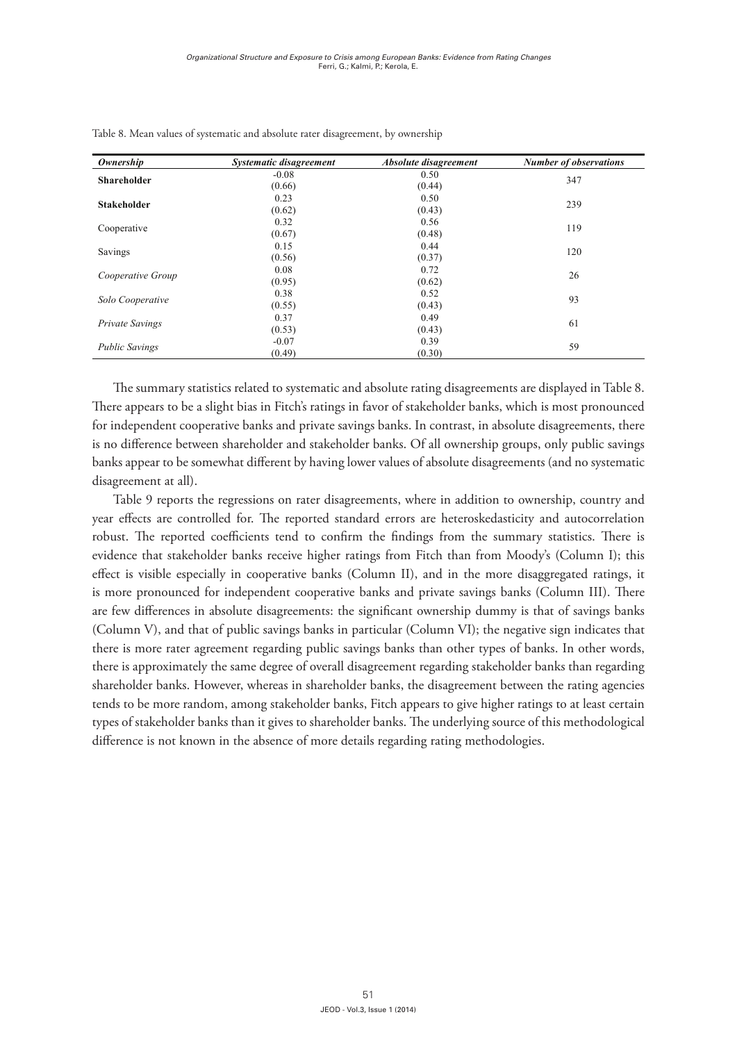| Ownership              | Systematic disagreement | Absolute disagreement | <b>Number of observations</b> |
|------------------------|-------------------------|-----------------------|-------------------------------|
| <b>Shareholder</b>     | $-0.08$                 | 0.50                  | 347                           |
|                        | (0.66)                  | (0.44)                |                               |
| <b>Stakeholder</b>     | 0.23                    | 0.50                  | 239                           |
|                        | (0.62)                  | (0.43)                |                               |
|                        | 0.32                    | 0.56                  |                               |
| Cooperative            | (0.67)                  | (0.48)                | 119                           |
| Savings                | 0.15                    | 0.44                  |                               |
|                        | (0.56)                  | (0.37)                | 120                           |
|                        | 0.08                    | 0.72                  |                               |
| Cooperative Group      | (0.95)                  | (0.62)                | 26                            |
|                        | 0.38                    | 0.52                  |                               |
| Solo Cooperative       | (0.55)                  | (0.43)                | 93                            |
|                        | 0.37                    | 0.49                  |                               |
| <b>Private Savings</b> | (0.53)                  | (0.43)                | 61                            |
|                        | $-0.07$                 | 0.39                  |                               |
| <b>Public Savings</b>  | (0.49)                  | (0.30)                | 59                            |

Table 8. Mean values of systematic and absolute rater disagreement, by ownership

The summary statistics related to systematic and absolute rating disagreements are displayed The summary statistics related to systematic and absolute rating disagreements are displayed in Table 8.  $\frac{1}{\sqrt{1-\frac{1}{\sqrt{1-\frac{1}{\sqrt{1-\frac{1}{\sqrt{1-\frac{1}{\sqrt{1-\frac{1}{\sqrt{1-\frac{1}{\sqrt{1-\frac{1}{\sqrt{1-\frac{1}{\sqrt{1-\frac{1}{\sqrt{1-\frac{1}{\sqrt{1-\frac{1}{\sqrt{1-\frac{1}{\sqrt{1-\frac{1}{\sqrt{1-\frac{1}{\sqrt{1-\frac{1}{\sqrt{1-\frac{1}{\sqrt{1-\frac{1}{\sqrt{1-\frac{1}{\sqrt{1-\frac{1}{\sqrt{1-\frac{1}{\sqrt{1-\frac{1}{\sqrt{1-\frac{1}{\sqrt{1-\frac{1}{\sqrt{1-\frac{1$ There appears to be a slight bias in Fitch's ratings in favor of stakeholder banks, which is most pronounced for independent cooperative banks and private savings banks. In contrast, in absolute disagreements, there is no difference between shareholder and stakeholder banks. Of all ownership groups, only public savings banks appear to be somewhat different by having lower values of absolute disagreements (and no systematic  $T_{\text{t}}$  reports the regressions on rate  $\sigma$  regressions on  $\sigma$  of our disagreements, where in addition to our disagreements, where  $\sigma$ disagreement at all).

compositions are controlled for. The reported forest are ported standard errors are heteroskedasticity and the<br>The reported standard errors are heteroskedasticity and the reported standard errors and the reported standard Table 9 reports the regressions on rater disagreements, where in addition to ownership, country and year effects are controlled for. The reported standard errors are heteroskedasticity and autocorrelation robust. The reported coefficients tend to confirm the findings from the summary statistics. There is evidence that stakeholder banks receive higher ratings from Fitch than from Moody's (Column I); this effect is visible especially in cooperative banks (Column II), and in the more disaggregated ratings, it  $\Gamma$  ownership dummy is that of savings banks (Column V), and that  $\frac{1}{2}$ ,  $\frac{1}{2}$ is more pronounced for independent cooperative banks and private savings banks (Column III). There are few differences in absolute disagreements: the significant ownership dummy is that of savings banks (Column V), and that of public savings banks in particular (Column VI); the negative sign indicates that there is more rater agreement regarding public savings banks than other types of banks. In other words, there is approximately the same degree of overall disagreement regarding stakeholder banks than regarding of state holder banks. However, whereas in shareholder banks, the discorporant between the rating econoise shareholder banks. However, whereas in shareholder banks, the disagreement between the rating agencies<br>... tends to be more random, among stakeholder banks, Fitch appears to give higher ratings to at least certain difference is not known in the absence of more details regarding rating methodologies. types of stakeholder banks than it gives to shareholder banks. The underlying source of this methodological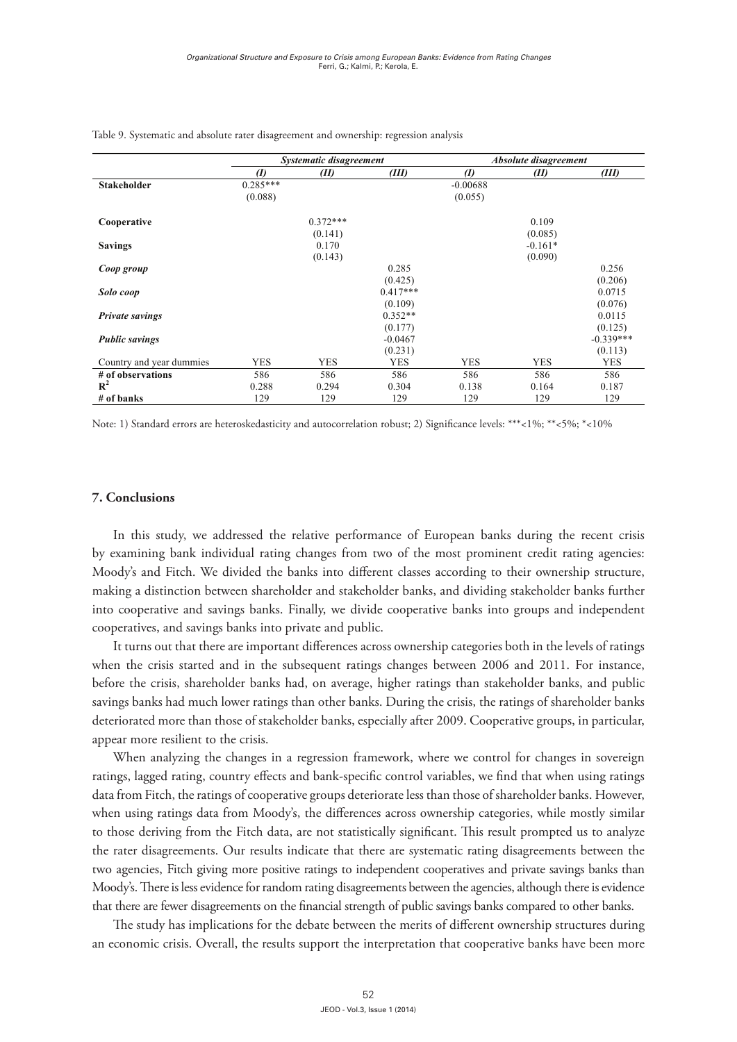|                          |                  | Systematic disagreement |            | Absolute disagreement |            |             |  |
|--------------------------|------------------|-------------------------|------------|-----------------------|------------|-------------|--|
|                          | $\boldsymbol{v}$ | (II)                    | (III)      | $\boldsymbol{I}$      | (II)       | (III)       |  |
| <b>Stakeholder</b>       | $0.285***$       |                         |            | $-0.00688$            |            |             |  |
|                          | (0.088)          |                         |            | (0.055)               |            |             |  |
| Cooperative              |                  | $0.372***$              |            |                       | 0.109      |             |  |
|                          |                  | (0.141)                 |            |                       | (0.085)    |             |  |
| <b>Savings</b>           |                  | 0.170                   |            |                       | $-0.161*$  |             |  |
|                          |                  | (0.143)                 |            |                       | (0.090)    |             |  |
| Coop group               |                  |                         | 0.285      |                       |            | 0.256       |  |
|                          |                  |                         | (0.425)    |                       |            | (0.206)     |  |
| Solo coop                |                  |                         | $0.417***$ |                       |            | 0.0715      |  |
|                          |                  |                         | (0.109)    |                       |            | (0.076)     |  |
| <b>Private savings</b>   |                  |                         | $0.352**$  |                       |            | 0.0115      |  |
|                          |                  |                         | (0.177)    |                       |            | (0.125)     |  |
| <b>Public savings</b>    |                  |                         | $-0.0467$  |                       |            | $-0.339***$ |  |
|                          |                  |                         | (0.231)    |                       |            | (0.113)     |  |
| Country and year dummies | <b>YES</b>       | <b>YES</b>              | <b>YES</b> | <b>YES</b>            | <b>YES</b> | <b>YES</b>  |  |
| # of observations        | 586              | 586                     | 586        | 586                   | 586        | 586         |  |
| $\mathbb{R}^2$           | 0.288            | 0.294                   | 0.304      | 0.138                 | 0.164      | 0.187       |  |
| $#$ of banks             | 129              | 129                     | 129        | 129                   | 129        | 129         |  |

Table 9. Systematic and absolute rater disagreement and ownership: regression analysis

Note: 1) Standard errors are heteroskedasticity and autocorrelation robust; 2) Significance levels: \*\*\*<1%; \*\*<5%; \*<10%

#### $c \cdot \sigma$  and two of the most prominent changes from two of the most prominent credit rating credit rating credit rating credit rating  $c \cdot \sigma$ . Conclusions **7. Conclusions**

In this study, we addressed the relative performance of European banks during the recent crisis by examining bank individual rating changes from two of the most prominent credit rating agencies: Moody's and Fitch. We divided the banks into different classes according to their ownership structure, of ratings when the crisis started and in the subsequent ratio ratio condition in the subsequent ratio ratio rating changes between 2011. For a condition in the subsequent ratio rating condition in the subsequent ratio rat making a distinction between shareholder and stakeholder banks, and dividing stakeholder banks further into cooperative and savings banks. Finally, we divide cooperative banks into groups and independent cooperatives, and savings banks into private and public.

It turns out that there are important differences across ownership categories both in the levels of ratings when the crisis started and in the subsequent ratings changes between 2006 and 2011. For instance, some interesting rating and bank-specific country effects and bank-specific control variables, we find that  $\alpha$ before the crisis, shareholder banks had, on average, higher ratings than stakeholder banks, and public savings banks had much lower ratings than other banks. During the crisis, the ratings of shareholder banks deteriorated more than those of stakeholder banks, especially after 2009. Cooperative groups, in particular,<br>appear more resilient to the crisis. appear more resilient to the crisis.

When analyzing the changes in a regression framework, where we control for changes in sovereign ratings to independent cooperatives and private savings banks than  $\frac{1}{2}$ . There is less evidence is less evidence ratings, lagged rating, country effects and bank-specific control variables, we find that when using ratings<br>. data from Fitch, the ratings of cooperative groups deteriorate less than those of shareholder banks. However, when using ratings data from Moody's, the differences across ownership categories, while mostly similar to those deriving from the Fitch data, are not statistically significant. This result prompted us to analyze the rater disagreements. Our results indicate that there are systematic rating disagreements between the  $\frac{1}{\sqrt{1-\frac{1}{\sqrt{1-\frac{1}{\sqrt{1-\frac{1}{\sqrt{1-\frac{1}{\sqrt{1-\frac{1}{\sqrt{1-\frac{1}{\sqrt{1-\frac{1}{\sqrt{1-\frac{1}{\sqrt{1-\frac{1}{\sqrt{1-\frac{1}{\sqrt{1-\frac{1}{\sqrt{1-\frac{1}{\sqrt{1-\frac{1}{\sqrt{1-\frac{1}{\sqrt{1-\frac{1}{\sqrt{1-\frac{1}{\sqrt{1-\frac{1}{\sqrt{1-\frac{1}{\sqrt{1-\frac{1}{\sqrt{1-\frac{1}{\sqrt{1-\frac{1}{\sqrt{1-\frac{1}{\sqrt{1-\frac{1}{\sqrt{1-\frac{1$ two agencies, Fitch giving more positive ratings to independent cooperatives and private savings banks than<br>March 2007, The cooperative savings banks than Moody's. There is less evidence for random rating disagreements between the agencies, although there is evidence<br> that there are fewer disagreements on the financial strength of public savings banks compared to other banks.

The study has implications for the debate between the merits of different ownership structures during The study has implications for the debate between the merits of different ownership structures during an economic crisis. Overall, the results support the interpretation that cooperative banks have been more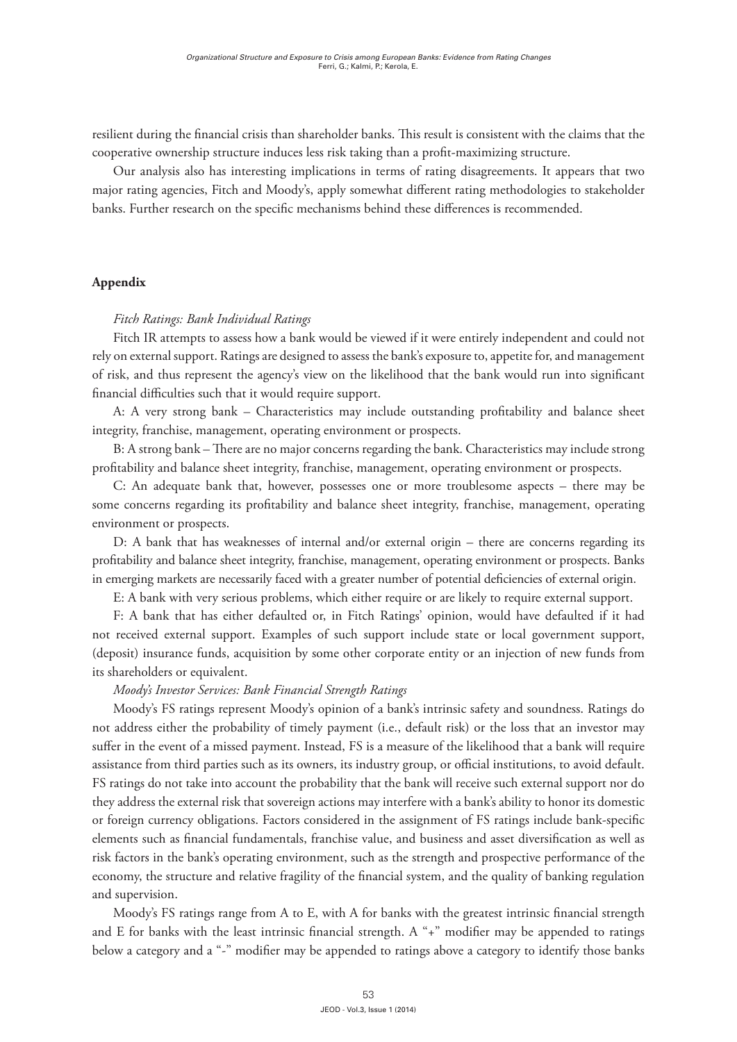resilient during the financial crisis than shareholder banks. This result is consistent with the claims that the cooperative ownership structure induces less risk taking than a profit-maximizing structure.

Our analysis also has interesting implications in terms of rating disagreements. It appears that two major rating agencies, Fitch and Moody's, apply somewhat different rating methodologies to stakeholder banks. Further research on the specific mechanisms behind these differences is recommended.

# **Appendix**

## *Fitch Ratings: Bank Individual Ratings*

Fitch IR attempts to assess how a bank would be viewed if it were entirely independent and could not rely on external support. Ratings are designed to assess the bank's exposure to, appetite for, and management of risk, and thus represent the agency's view on the likelihood that the bank would run into significant financial difficulties such that it would require support.

A: A very strong bank – Characteristics may include outstanding profitability and balance sheet integrity, franchise, management, operating environment or prospects.

B: A strong bank – There are no major concerns regarding the bank. Characteristics may include strong profitability and balance sheet integrity, franchise, management, operating environment or prospects.

C: An adequate bank that, however, possesses one or more troublesome aspects – there may be some concerns regarding its profitability and balance sheet integrity, franchise, management, operating environment or prospects.

D: A bank that has weaknesses of internal and/or external origin – there are concerns regarding its profitability and balance sheet integrity, franchise, management, operating environment or prospects. Banks in emerging markets are necessarily faced with a greater number of potential deficiencies of external origin.

E: A bank with very serious problems, which either require or are likely to require external support.

F: A bank that has either defaulted or, in Fitch Ratings' opinion, would have defaulted if it had not received external support. Examples of such support include state or local government support, (deposit) insurance funds, acquisition by some other corporate entity or an injection of new funds from its shareholders or equivalent.

### *Moody's Investor Services: Bank Financial Strength Ratings*

Moody's FS ratings represent Moody's opinion of a bank's intrinsic safety and soundness. Ratings do not address either the probability of timely payment (i.e., default risk) or the loss that an investor may suffer in the event of a missed payment. Instead, FS is a measure of the likelihood that a bank will require assistance from third parties such as its owners, its industry group, or official institutions, to avoid default. FS ratings do not take into account the probability that the bank will receive such external support nor do they address the external risk that sovereign actions may interfere with a bank's ability to honor its domestic or foreign currency obligations. Factors considered in the assignment of FS ratings include bank-specific elements such as financial fundamentals, franchise value, and business and asset diversification as well as risk factors in the bank's operating environment, such as the strength and prospective performance of the economy, the structure and relative fragility of the financial system, and the quality of banking regulation and supervision.

Moody's FS ratings range from A to E, with A for banks with the greatest intrinsic financial strength and E for banks with the least intrinsic financial strength. A "+" modifier may be appended to ratings below a category and a "-" modifier may be appended to ratings above a category to identify those banks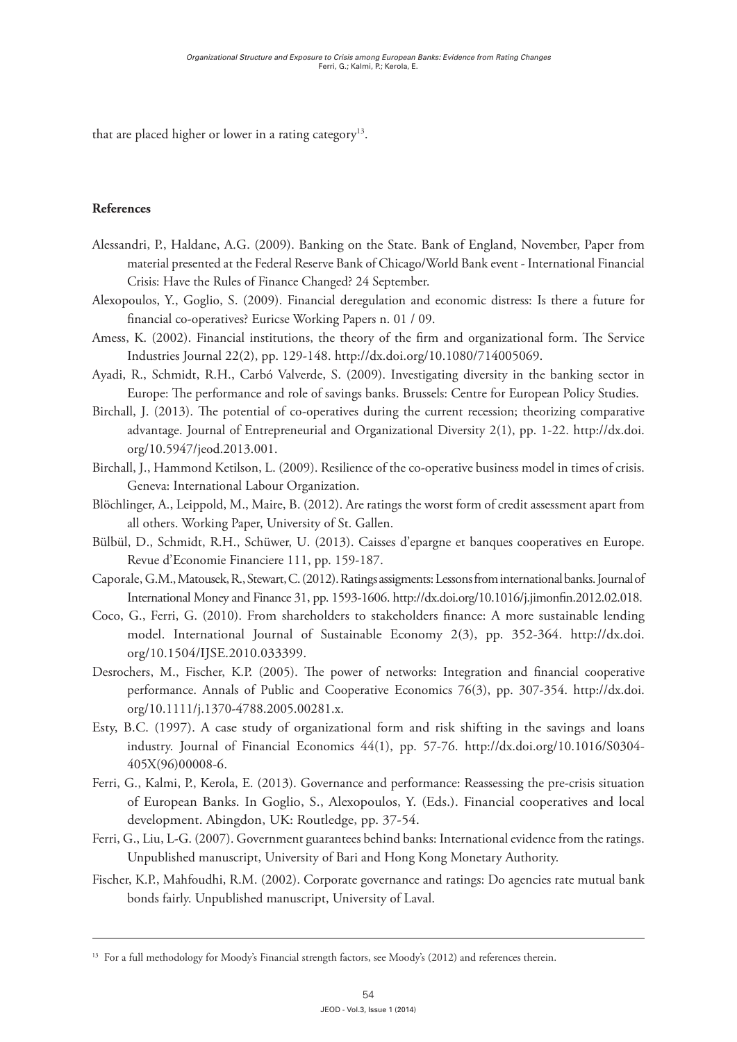that are placed higher or lower in a rating category<sup>13</sup>.

# **References**

- Alessandri, P., Haldane, A.G. (2009). Banking on the State. Bank of England, November, Paper from material presented at the Federal Reserve Bank of Chicago/World Bank event - International Financial Crisis: Have the Rules of Finance Changed? 24 September.
- Alexopoulos, Y., Goglio, S. (2009). Financial deregulation and economic distress: Is there a future for financial co-operatives? Euricse Working Papers n. 01 / 09.
- Amess, K. (2002). Financial institutions, the theory of the firm and organizational form. The Service Industries Journal 22(2), pp. 129-148. [http://dx.doi.org/10.1080/714005069.](http://dx.doi.org/10.1080/714005069)
- Ayadi, R., Schmidt, R.H., Carbó Valverde, S. (2009). Investigating diversity in the banking sector in Europe: The performance and role of savings banks. Brussels: Centre for European Policy Studies.
- Birchall, J. (2013). The potential of co-operatives during the current recession; theorizing comparative advantage. Journal of Entrepreneurial and Organizational Diversity 2(1), pp. 1-22. [http://dx.doi.](http://dx.doi.org/10.5947/jeod.2013.001) [org/10.5947/jeod.2013.001.](http://dx.doi.org/10.5947/jeod.2013.001)
- Birchall, J., Hammond Ketilson, L. (2009). Resilience of the co-operative business model in times of crisis. Geneva: International Labour Organization.
- Blöchlinger, A., Leippold, M., Maire, B. (2012). Are ratings the worst form of credit assessment apart from all others. Working Paper, University of St. Gallen.
- Bülbül, D., Schmidt, R.H., Schüwer, U. (2013). Caisses d'epargne et banques cooperatives en Europe. Revue d'Economie Financiere 111, pp. 159-187.
- Caporale, G.M., Matousek, R., Stewart, C. (2012). Ratings assigments: Lessons from international banks. Journal of International Money and Finance 31, pp. 1593-1606.<http://dx.doi.org/10.1016/j.jimonfin.2012.02.018>.
- Coco, G., Ferri, G. (2010). From shareholders to stakeholders finance: A more sustainable lending model. International Journal of Sustainable Economy 2(3), pp. 352-364. [http://dx.doi.](http://dx.doi.org/10.1504/IJSE.2010.033399) [org/10.1504/IJSE.2010.033399.](http://dx.doi.org/10.1504/IJSE.2010.033399)
- Desrochers, M., Fischer, K.P. (2005). The power of networks: Integration and financial cooperative performance. Annals of Public and Cooperative Economics 76(3), pp. 307-354. [http://dx.doi.](http://dx.doi.org/10.1111/j.1370-4788.2005.00281.x) [org/10.1111/j.1370-4788.2005.00281.x](http://dx.doi.org/10.1111/j.1370-4788.2005.00281.x).
- Esty, B.C. (1997). A case study of organizational form and risk shifting in the savings and loans industry. Journal of Financial Economics 44(1), pp. 57-76. [http://dx.doi.org/10.1016/S0304-](http://dx.doi.org/10.1016/S0304-405X(96)00008-6) [405X\(96\)00008-6.](http://dx.doi.org/10.1016/S0304-405X(96)00008-6)
- Ferri, G., Kalmi, P., Kerola, E. (2013). Governance and performance: Reassessing the pre-crisis situation of European Banks. In Goglio, S., Alexopoulos, Y. (Eds.). Financial cooperatives and local development. Abingdon, UK: Routledge, pp. 37-54.
- Ferri, G., Liu, L-G. (2007). Government guarantees behind banks: International evidence from the ratings. Unpublished manuscript, University of Bari and Hong Kong Monetary Authority.
- Fischer, K.P., Mahfoudhi, R.M. (2002). Corporate governance and ratings: Do agencies rate mutual bank bonds fairly. Unpublished manuscript, University of Laval.

<sup>&</sup>lt;sup>13</sup> For a full methodology for Moody's Financial strength factors, see Moody's (2012) and references therein.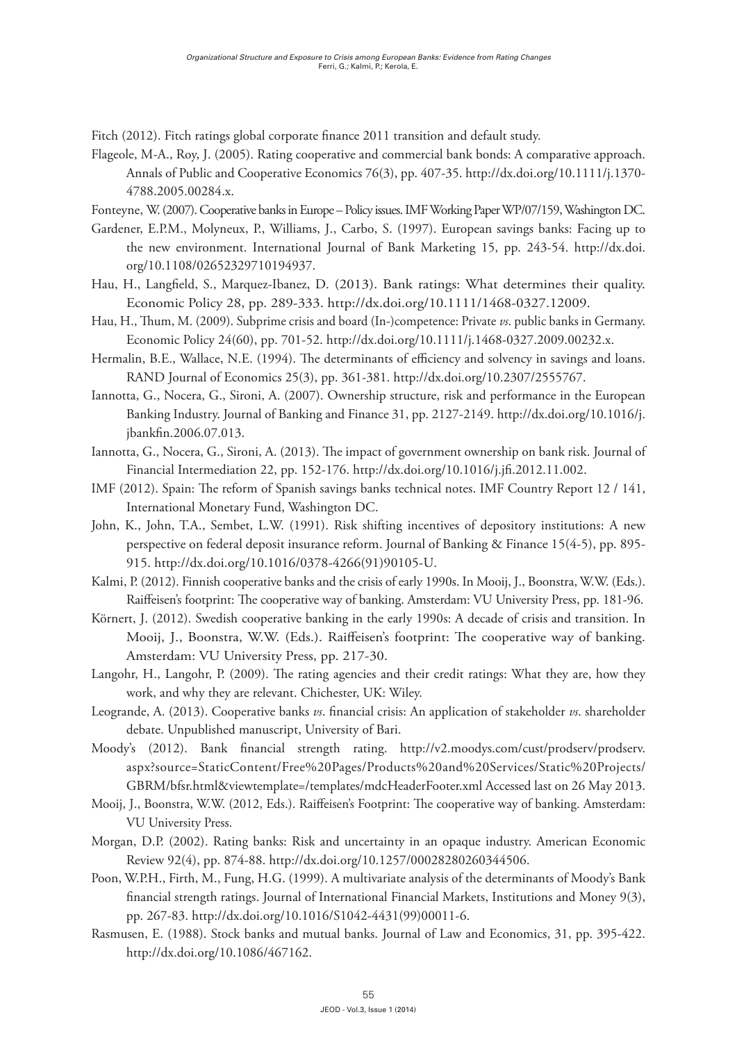Fitch (2012). Fitch ratings global corporate finance 2011 transition and default study.

- Flageole, M-A., Roy, J. (2005). Rating cooperative and commercial bank bonds: A comparative approach. Annals of Public and Cooperative Economics 76(3), pp. 407-35. [http://dx.doi.org/10.1111/j.1370-](http://dx.doi.org/10.1111/j.1370-4788.2005.00284.x) [4788.2005.00284.x.](http://dx.doi.org/10.1111/j.1370-4788.2005.00284.x)
- Fonteyne, W. (2007). Cooperative banks in Europe Policy issues. IMF Working Paper WP/07/159, Washington DC.
- Gardener, E.P.M., Molyneux, P., Williams, J., Carbo, S. (1997). European savings banks: Facing up to the new environment. International Journal of Bank Marketing 15, pp. 243-54. [http://dx.doi.](http://dx.doi.org/10.1108/02652329710194937) [org/10.1108/02652329710194937](http://dx.doi.org/10.1108/02652329710194937).
- Hau, H., Langfield, S., Marquez-Ibanez, D. (2013). Bank ratings: What determines their quality. Economic Policy 28, pp. 289-333. <http://dx.doi.org/10.1111/1468-0327.12009>.
- Hau, H., Thum, M. (2009). Subprime crisis and board (In-)competence: Private *vs*. public banks in Germany. Economic Policy 24(60), pp. 701-52. [http://dx.doi.org/10.1111/j.1468-0327.2009.00232.x.](http://dx.doi.org/10.1111/j.1468-0327.2009.00232.x)
- Hermalin, B.E., Wallace, N.E. (1994). The determinants of efficiency and solvency in savings and loans. RAND Journal of Economics 25(3), pp. 361-381. [http://dx.doi.org/10.2307/2555767.](http://dx.doi.org/10.2307/2555767)
- Iannotta, G., Nocera, G., Sironi, A. (2007). Ownership structure, risk and performance in the European Banking Industry. Journal of Banking and Finance 31, pp. 2127-2149. [http://dx.doi.org/10.1016/j.](http://dx.doi.org/10.1016/j.jbankfin.2006.07.013) [jbankfin.2006.07.013](http://dx.doi.org/10.1016/j.jbankfin.2006.07.013).
- Iannotta, G., Nocera, G., Sironi, A. (2013). The impact of government ownership on bank risk. Journal of Financial Intermediation 22, pp. 152-176.<http://dx.doi.org/10.1016/j.jfi.2012.11.002>.
- IMF (2012). Spain: The reform of Spanish savings banks technical notes. IMF Country Report 12 / 141, International Monetary Fund, Washington DC.
- John, K., John, T.A., Sembet, L.W. (1991). Risk shifting incentives of depository institutions: A new perspective on federal deposit insurance reform. Journal of Banking & Finance 15(4-5), pp. 895- 915. [http://dx.doi.org/10.1016/0378-4266\(91\)90105-U](http://dx.doi.org/10.1016/0378-4266(91)90105-U).
- Kalmi, P. (2012). Finnish cooperative banks and the crisis of early 1990s. In Mooij, J., Boonstra, W.W. (Eds.). Raiffeisen's footprint: The cooperative way of banking. Amsterdam: VU University Press, pp. 181-96.
- Körnert, J. (2012). Swedish cooperative banking in the early 1990s: A decade of crisis and transition. In Mooij, J., Boonstra, W.W. (Eds.). Raiffeisen's footprint: The cooperative way of banking. Amsterdam: VU University Press, pp. 217-30.
- Langohr, H., Langohr, P. (2009). The rating agencies and their credit ratings: What they are, how they work, and why they are relevant. Chichester, UK: Wiley.
- Leogrande, A. (2013). Cooperative banks *vs*. financial crisis: An application of stakeholder *vs*. shareholder debate. Unpublished manuscript, University of Bari.
- Moody's (2012). Bank financial strength rating. [http://v2.moodys.com/cust/prodserv/prodserv.](http://v2.moodys.com/cust/prodserv/prodserv.aspx?source=StaticContent/Free Pages/Products and Services/Static Projects/GBRM/bfsr.html&viewtemplate=/templates/mdcHeaderFooter.xml) [aspx?source=StaticContent/Free%20Pages/Products%20and%20Services/Static%20Projects/](http://v2.moodys.com/cust/prodserv/prodserv.aspx?source=StaticContent/Free Pages/Products and Services/Static Projects/GBRM/bfsr.html&viewtemplate=/templates/mdcHeaderFooter.xml) [GBRM/bfsr.html&viewtemplate=/templates/mdcHeaderFooter.xml](http://v2.moodys.com/cust/prodserv/prodserv.aspx?source=StaticContent/Free Pages/Products and Services/Static Projects/GBRM/bfsr.html&viewtemplate=/templates/mdcHeaderFooter.xml) Accessed last on 26 May 2013.
- Mooij, J., Boonstra, W.W. (2012, Eds.). Raiffeisen's Footprint: The cooperative way of banking. Amsterdam: VU University Press.
- Morgan, D.P. (2002). Rating banks: Risk and uncertainty in an opaque industry. American Economic Review 92(4), pp. 874-88.<http://dx.doi.org/10.1257/00028280260344506>.
- Poon, W.P.H., Firth, M., Fung, H.G. (1999). A multivariate analysis of the determinants of Moody's Bank financial strength ratings. Journal of International Financial Markets, Institutions and Money 9(3), pp. 267-83. [http://dx.doi.org/10.1016/S1042-4431\(99\)00011-6.](http://dx.doi.org/10.1016/S1042-4431(99)00011-6)
- Rasmusen, E. (1988). Stock banks and mutual banks. Journal of Law and Economics, 31, pp. 395-422. <http://dx.doi.org/10.1086/467162>.